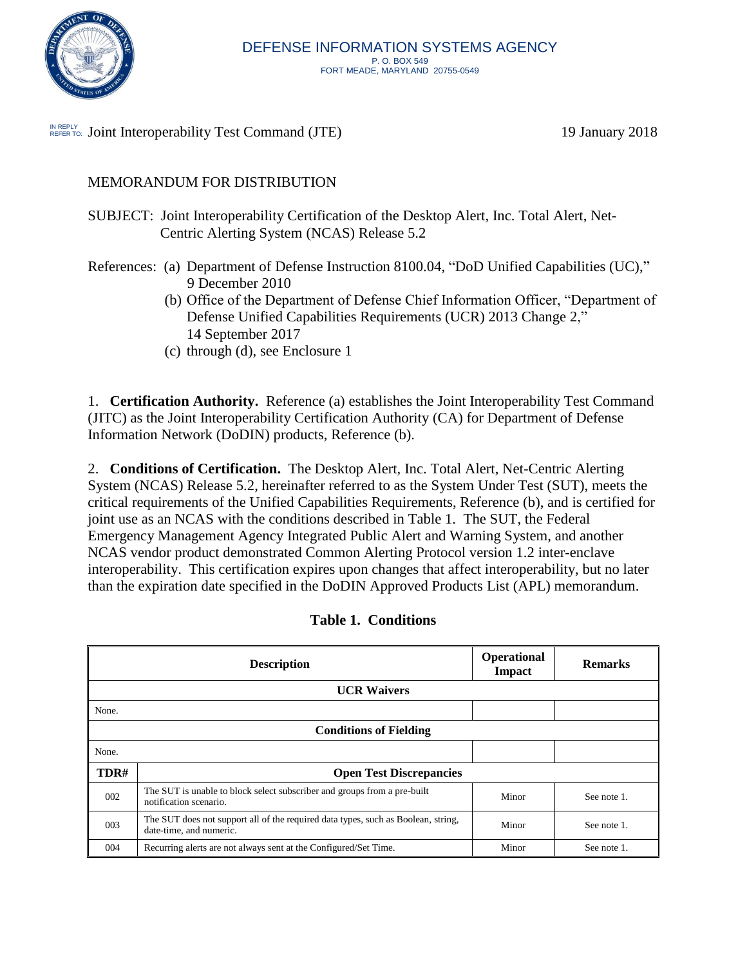

IN REPLY Joint Interoperability Test Command (JTE) 19 January 2018

# MEMORANDUM FOR DISTRIBUTION

- SUBJECT: Joint Interoperability Certification of the Desktop Alert, Inc. Total Alert, Net-Centric Alerting System (NCAS) Release 5.2
- References: (a) Department of Defense Instruction 8100.04, "DoD Unified Capabilities (UC)," 9 December 2010
	- (b) Office of the Department of Defense Chief Information Officer, "Department of Defense Unified Capabilities Requirements (UCR) 2013 Change 2," 14 September 2017
	- (c) through (d), see Enclosure 1

1. **Certification Authority.** Reference (a) establishes the Joint Interoperability Test Command (JITC) as the Joint Interoperability Certification Authority (CA) for Department of Defense Information Network (DoDIN) products, Reference (b).

2. **Conditions of Certification.** The Desktop Alert, Inc. Total Alert, Net-Centric Alerting System (NCAS) Release 5.2, hereinafter referred to as the System Under Test (SUT), meets the critical requirements of the Unified Capabilities Requirements, Reference (b), and is certified for joint use as an NCAS with the conditions described in Table 1. The SUT, the Federal Emergency Management Agency Integrated Public Alert and Warning System, and another NCAS vendor product demonstrated Common Alerting Protocol version 1.2 inter-enclave interoperability. This certification expires upon changes that affect interoperability, but no later than the expiration date specified in the DoDIN Approved Products List (APL) memorandum.

|       | <b>Description</b>                                                                                           | Operational<br>Impact | <b>Remarks</b> |  |  |
|-------|--------------------------------------------------------------------------------------------------------------|-----------------------|----------------|--|--|
|       | <b>UCR Waivers</b>                                                                                           |                       |                |  |  |
| None. |                                                                                                              |                       |                |  |  |
|       | <b>Conditions of Fielding</b>                                                                                |                       |                |  |  |
| None. |                                                                                                              |                       |                |  |  |
| TDR#  | <b>Open Test Discrepancies</b>                                                                               |                       |                |  |  |
| 002   | The SUT is unable to block select subscriber and groups from a pre-built<br>notification scenario.           | Minor                 | See note 1.    |  |  |
| 003   | The SUT does not support all of the required data types, such as Boolean, string,<br>date-time, and numeric. | Minor                 | See note 1.    |  |  |
| 004   | Recurring alerts are not always sent at the Configured/Set Time.                                             | Minor                 | See note 1.    |  |  |

| <b>Table 1. Conditions</b> |
|----------------------------|
|                            |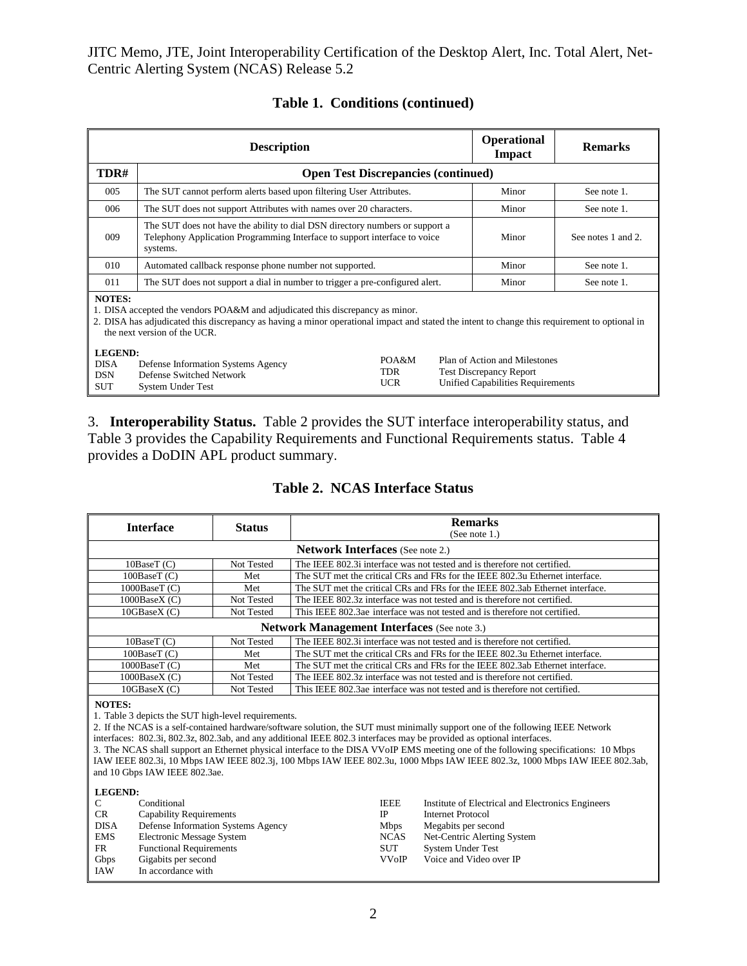JITC Memo, JTE, Joint Interoperability Certification of the Desktop Alert, Inc. Total Alert, Net-Centric Alerting System (NCAS) Release 5.2

|                                                                                                                                                                                                                                                                                 | <b>Description</b>                                                                         | <b>Operational</b><br>Impact      | <b>Remarks</b> |                                                                                                             |             |
|---------------------------------------------------------------------------------------------------------------------------------------------------------------------------------------------------------------------------------------------------------------------------------|--------------------------------------------------------------------------------------------|-----------------------------------|----------------|-------------------------------------------------------------------------------------------------------------|-------------|
| TDR#                                                                                                                                                                                                                                                                            | <b>Open Test Discrepancies (continued)</b>                                                 |                                   |                |                                                                                                             |             |
| 005                                                                                                                                                                                                                                                                             | The SUT cannot perform alerts based upon filtering User Attributes.                        |                                   |                | Minor                                                                                                       | See note 1. |
| 006                                                                                                                                                                                                                                                                             | The SUT does not support Attributes with names over 20 characters.                         |                                   |                | Minor                                                                                                       | See note 1. |
| The SUT does not have the ability to dial DSN directory numbers or support a<br>009<br>Telephony Application Programming Interface to support interface to voice<br>systems.                                                                                                    |                                                                                            |                                   | Minor          | See notes 1 and 2.                                                                                          |             |
| 010                                                                                                                                                                                                                                                                             | Automated callback response phone number not supported.                                    |                                   |                | Minor                                                                                                       | See note 1. |
| 011                                                                                                                                                                                                                                                                             | The SUT does not support a dial in number to trigger a pre-configured alert.               |                                   |                | Minor                                                                                                       | See note 1. |
| <b>NOTES:</b><br>1. DISA accepted the vendors POA&M and adjudicated this discrepancy as minor.<br>2. DISA has adjudicated this discrepancy as having a minor operational impact and stated the intent to change this requirement to optional in<br>the next version of the UCR. |                                                                                            |                                   |                |                                                                                                             |             |
| LEGEND:<br><b>DISA</b><br><b>DSN</b><br>SUT                                                                                                                                                                                                                                     | Defense Information Systems Agency<br>Defense Switched Network<br><b>System Under Test</b> | POA&M<br><b>TDR</b><br><b>UCR</b> |                | Plan of Action and Milestones<br><b>Test Discrepancy Report</b><br><b>Unified Capabilities Requirements</b> |             |

# **Table 1. Conditions (continued)**

3. **Interoperability Status.** Table 2 provides the SUT interface interoperability status, and Table 3 provides the Capability Requirements and Functional Requirements status. Table 4 provides a DoDIN APL product summary.

### **Table 2. NCAS Interface Status**

| <b>Interface</b>                                                                                                                                                                                                                                                                                                                                                                                                                                                                                                                                                                                                                       | <b>Status</b>                      | <b>Remarks</b>                                                             |                                                                               |  |  |
|----------------------------------------------------------------------------------------------------------------------------------------------------------------------------------------------------------------------------------------------------------------------------------------------------------------------------------------------------------------------------------------------------------------------------------------------------------------------------------------------------------------------------------------------------------------------------------------------------------------------------------------|------------------------------------|----------------------------------------------------------------------------|-------------------------------------------------------------------------------|--|--|
|                                                                                                                                                                                                                                                                                                                                                                                                                                                                                                                                                                                                                                        |                                    | (See note 1.)                                                              |                                                                               |  |  |
| <b>Network Interfaces</b> (See note 2.)                                                                                                                                                                                                                                                                                                                                                                                                                                                                                                                                                                                                |                                    |                                                                            |                                                                               |  |  |
| 10BaseT(C)                                                                                                                                                                                                                                                                                                                                                                                                                                                                                                                                                                                                                             | Not Tested                         | The IEEE 802.3i interface was not tested and is therefore not certified.   |                                                                               |  |  |
| 100BaseT (C)                                                                                                                                                                                                                                                                                                                                                                                                                                                                                                                                                                                                                           | Met                                |                                                                            | The SUT met the critical CRs and FRs for the IEEE 802.3u Ethernet interface.  |  |  |
| 1000BaseT (C)                                                                                                                                                                                                                                                                                                                                                                                                                                                                                                                                                                                                                          | Met                                |                                                                            | The SUT met the critical CRs and FRs for the IEEE 802.3ab Ethernet interface. |  |  |
| 1000BaseX (C)                                                                                                                                                                                                                                                                                                                                                                                                                                                                                                                                                                                                                          | Not Tested                         |                                                                            | The IEEE 802.3z interface was not tested and is therefore not certified.      |  |  |
| 10GBaseX (C)                                                                                                                                                                                                                                                                                                                                                                                                                                                                                                                                                                                                                           | Not Tested                         |                                                                            | This IEEE 802.3ae interface was not tested and is therefore not certified.    |  |  |
|                                                                                                                                                                                                                                                                                                                                                                                                                                                                                                                                                                                                                                        |                                    | <b>Network Management Interfaces</b> (See note 3.)                         |                                                                               |  |  |
| 10BaseT (C)                                                                                                                                                                                                                                                                                                                                                                                                                                                                                                                                                                                                                            | Not Tested                         |                                                                            | The IEEE 802.3i interface was not tested and is therefore not certified.      |  |  |
| 100BaseT (C)                                                                                                                                                                                                                                                                                                                                                                                                                                                                                                                                                                                                                           | Met                                |                                                                            | The SUT met the critical CRs and FRs for the IEEE 802.3u Ethernet interface.  |  |  |
| 1000BaseT (C)                                                                                                                                                                                                                                                                                                                                                                                                                                                                                                                                                                                                                          | Met                                |                                                                            | The SUT met the critical CRs and FRs for the IEEE 802.3ab Ethernet interface. |  |  |
| 1000BaseX (C)                                                                                                                                                                                                                                                                                                                                                                                                                                                                                                                                                                                                                          | Not Tested                         |                                                                            | The IEEE 802.3z interface was not tested and is therefore not certified.      |  |  |
| 10GBaseX (C)                                                                                                                                                                                                                                                                                                                                                                                                                                                                                                                                                                                                                           | Not Tested                         | This IEEE 802.3ae interface was not tested and is therefore not certified. |                                                                               |  |  |
| <b>NOTES:</b><br>1. Table 3 depicts the SUT high-level requirements.<br>2. If the NCAS is a self-contained hardware/software solution, the SUT must minimally support one of the following IEEE Network<br>interfaces: 802.3i, 802.3z, 802.3ab, and any additional IEEE 802.3 interfaces may be provided as optional interfaces.<br>3. The NCAS shall support an Ethernet physical interface to the DISA VVoIP EMS meeting one of the following specifications: 10 Mbps<br>IAW IEEE 802.3i, 10 Mbps IAW IEEE 802.3j, 100 Mbps IAW IEEE 802.3u, 1000 Mbps IAW IEEE 802.3z, 1000 Mbps IAW IEEE 802.3ab,<br>and 10 Gbps IAW IEEE 802.3ae. |                                    |                                                                            |                                                                               |  |  |
| <b>LEGEND:</b>                                                                                                                                                                                                                                                                                                                                                                                                                                                                                                                                                                                                                         |                                    |                                                                            |                                                                               |  |  |
| $\mathcal{C}$<br>Conditional                                                                                                                                                                                                                                                                                                                                                                                                                                                                                                                                                                                                           |                                    | <b>IEEE</b><br><b>IP</b>                                                   | Institute of Electrical and Electronics Engineers                             |  |  |
| CR                                                                                                                                                                                                                                                                                                                                                                                                                                                                                                                                                                                                                                     | <b>Capability Requirements</b>     |                                                                            | <b>Internet Protocol</b>                                                      |  |  |
| <b>DISA</b>                                                                                                                                                                                                                                                                                                                                                                                                                                                                                                                                                                                                                            | Defense Information Systems Agency | Mbps                                                                       | Megabits per second                                                           |  |  |
| <b>EMS</b><br>Electronic Message System                                                                                                                                                                                                                                                                                                                                                                                                                                                                                                                                                                                                |                                    | <b>NCAS</b><br><b>SUT</b>                                                  | Net-Centric Alerting System                                                   |  |  |
| <b>FR</b>                                                                                                                                                                                                                                                                                                                                                                                                                                                                                                                                                                                                                              | <b>Functional Requirements</b>     |                                                                            | <b>System Under Test</b>                                                      |  |  |
| Gbps                                                                                                                                                                                                                                                                                                                                                                                                                                                                                                                                                                                                                                   | Gigabits per second                |                                                                            | <b>VVoIP</b><br>Voice and Video over IP                                       |  |  |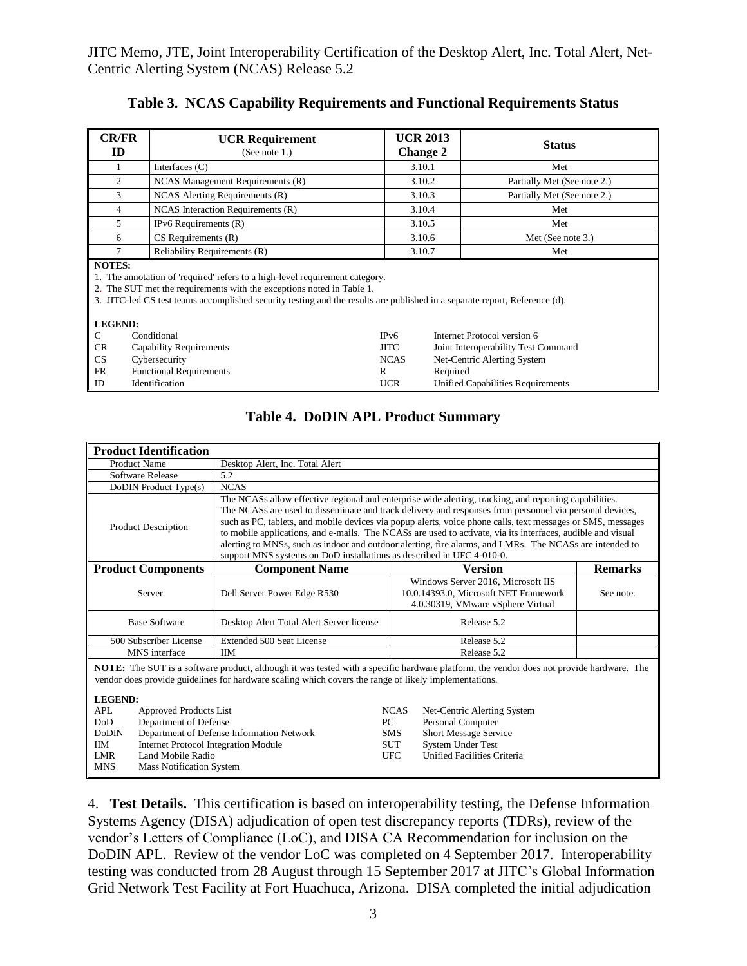| <b>CR/FR</b><br>ID | <b>UCR Requirement</b><br>(See note $1$ .)                                                                                                                                                                                                                                                           | <b>UCR 2013</b><br><b>Change 2</b> | <b>Status</b>                       |  |  |  |
|--------------------|------------------------------------------------------------------------------------------------------------------------------------------------------------------------------------------------------------------------------------------------------------------------------------------------------|------------------------------------|-------------------------------------|--|--|--|
|                    | Interfaces $(C)$                                                                                                                                                                                                                                                                                     | 3.10.1                             | Met                                 |  |  |  |
| $\overline{c}$     | NCAS Management Requirements (R)                                                                                                                                                                                                                                                                     | 3.10.2                             | Partially Met (See note 2.)         |  |  |  |
| 3                  | NCAS Alerting Requirements (R)                                                                                                                                                                                                                                                                       | 3.10.3                             | Partially Met (See note 2.)         |  |  |  |
| 4                  | NCAS Interaction Requirements (R)                                                                                                                                                                                                                                                                    | 3.10.4                             | Met                                 |  |  |  |
| 5.                 | IPv6 Requirements (R)                                                                                                                                                                                                                                                                                | 3.10.5                             | Met                                 |  |  |  |
| 6                  | $CS$ Requirements $(R)$                                                                                                                                                                                                                                                                              | 3.10.6                             | Met (See note 3.)                   |  |  |  |
| 7                  | Reliability Requirements (R)                                                                                                                                                                                                                                                                         | 3.10.7                             | Met                                 |  |  |  |
|                    | <b>NOTES:</b><br>1. The annotation of 'required' refers to a high-level requirement category.<br>2. The SUT met the requirements with the exceptions noted in Table 1.<br>3. JITC-led CS test teams accomplished security testing and the results are published in a separate report, Reference (d). |                                    |                                     |  |  |  |
| <b>LEGEND:</b>     |                                                                                                                                                                                                                                                                                                      |                                    |                                     |  |  |  |
| C                  | Conditional<br>IPv6                                                                                                                                                                                                                                                                                  |                                    | Internet Protocol version 6         |  |  |  |
| CR                 | <b>JITC</b><br><b>Capability Requirements</b>                                                                                                                                                                                                                                                        |                                    | Joint Interoperability Test Command |  |  |  |
| CS                 | <b>NCAS</b><br>Cybersecurity                                                                                                                                                                                                                                                                         |                                    | Net-Centric Alerting System         |  |  |  |
| <b>FR</b>          | <b>Functional Requirements</b><br>R                                                                                                                                                                                                                                                                  |                                    | Required                            |  |  |  |
| ID                 | Identification                                                                                                                                                                                                                                                                                       | UCR.                               | Unified Capabilities Requirements   |  |  |  |

## **Table 3. NCAS Capability Requirements and Functional Requirements Status**

# **Table 4. DoDIN APL Product Summary**

| <b>Product Identification</b>                                                                                                                                                                                                                                                                                                                                           |                                                                                                                                                                                                                                                                                                                                                                                                                                                                                                                                                                                                                                     |                                             |            |                             |                                                                                                                  |                |
|-------------------------------------------------------------------------------------------------------------------------------------------------------------------------------------------------------------------------------------------------------------------------------------------------------------------------------------------------------------------------|-------------------------------------------------------------------------------------------------------------------------------------------------------------------------------------------------------------------------------------------------------------------------------------------------------------------------------------------------------------------------------------------------------------------------------------------------------------------------------------------------------------------------------------------------------------------------------------------------------------------------------------|---------------------------------------------|------------|-----------------------------|------------------------------------------------------------------------------------------------------------------|----------------|
| <b>Product Name</b>                                                                                                                                                                                                                                                                                                                                                     |                                                                                                                                                                                                                                                                                                                                                                                                                                                                                                                                                                                                                                     | Desktop Alert, Inc. Total Alert             |            |                             |                                                                                                                  |                |
| Software Release                                                                                                                                                                                                                                                                                                                                                        |                                                                                                                                                                                                                                                                                                                                                                                                                                                                                                                                                                                                                                     | 5.2                                         |            |                             |                                                                                                                  |                |
| DoDIN Product Type(s)                                                                                                                                                                                                                                                                                                                                                   |                                                                                                                                                                                                                                                                                                                                                                                                                                                                                                                                                                                                                                     | <b>NCAS</b>                                 |            |                             |                                                                                                                  |                |
| <b>Product Description</b>                                                                                                                                                                                                                                                                                                                                              | The NCASs allow effective regional and enterprise wide alerting, tracking, and reporting capabilities.<br>The NCASs are used to disseminate and track delivery and responses from personnel via personal devices,<br>such as PC, tablets, and mobile devices via popup alerts, voice phone calls, text messages or SMS, messages<br>to mobile applications, and e-mails. The NCASs are used to activate, via its interfaces, audible and visual<br>alerting to MNSs, such as indoor and outdoor alerting, fire alarms, and LMRs. The NCASs are intended to<br>support MNS systems on DoD installations as described in UFC 4-010-0. |                                             |            |                             |                                                                                                                  |                |
| <b>Product Components</b>                                                                                                                                                                                                                                                                                                                                               |                                                                                                                                                                                                                                                                                                                                                                                                                                                                                                                                                                                                                                     | <b>Component Name</b>                       |            |                             | <b>Version</b>                                                                                                   | <b>Remarks</b> |
| Server                                                                                                                                                                                                                                                                                                                                                                  |                                                                                                                                                                                                                                                                                                                                                                                                                                                                                                                                                                                                                                     | Dell Server Power Edge R530                 |            |                             | Windows Server 2016, Microsoft IIS<br>10.0.14393.0, Microsoft NET Framework<br>4.0.30319, VMware vSphere Virtual |                |
| <b>Base Software</b>                                                                                                                                                                                                                                                                                                                                                    |                                                                                                                                                                                                                                                                                                                                                                                                                                                                                                                                                                                                                                     | Desktop Alert Total Alert Server license    |            | Release 5.2                 |                                                                                                                  |                |
| 500 Subscriber License                                                                                                                                                                                                                                                                                                                                                  |                                                                                                                                                                                                                                                                                                                                                                                                                                                                                                                                                                                                                                     | Extended 500 Seat License                   |            |                             | Release 5.2                                                                                                      |                |
| MNS interface                                                                                                                                                                                                                                                                                                                                                           |                                                                                                                                                                                                                                                                                                                                                                                                                                                                                                                                                                                                                                     | <b>IIM</b>                                  |            |                             | Release 5.2                                                                                                      |                |
| <b>NOTE:</b> The SUT is a software product, although it was tested with a specific hardware platform, the vendor does not provide hardware. The<br>vendor does provide guidelines for hardware scaling which covers the range of likely implementations.<br><b>LEGEND:</b><br><b>APL</b><br><b>Approved Products List</b><br><b>NCAS</b><br>Net-Centric Alerting System |                                                                                                                                                                                                                                                                                                                                                                                                                                                                                                                                                                                                                                     |                                             |            |                             |                                                                                                                  |                |
| DoD<br>Department of Defense                                                                                                                                                                                                                                                                                                                                            |                                                                                                                                                                                                                                                                                                                                                                                                                                                                                                                                                                                                                                     |                                             | PC.        |                             | Personal Computer                                                                                                |                |
| <b>DoDIN</b>                                                                                                                                                                                                                                                                                                                                                            |                                                                                                                                                                                                                                                                                                                                                                                                                                                                                                                                                                                                                                     | Department of Defense Information Network   | <b>SMS</b> |                             | <b>Short Message Service</b>                                                                                     |                |
| <b>IIM</b>                                                                                                                                                                                                                                                                                                                                                              |                                                                                                                                                                                                                                                                                                                                                                                                                                                                                                                                                                                                                                     | <b>Internet Protocol Integration Module</b> | <b>SUT</b> |                             | <b>System Under Test</b>                                                                                         |                |
| <b>LMR</b><br>Land Mobile Radio<br><b>MNS</b><br><b>Mass Notification System</b>                                                                                                                                                                                                                                                                                        |                                                                                                                                                                                                                                                                                                                                                                                                                                                                                                                                                                                                                                     | <b>UFC</b>                                  |            | Unified Facilities Criteria |                                                                                                                  |                |

4. **Test Details.** This certification is based on interoperability testing, the Defense Information Systems Agency (DISA) adjudication of open test discrepancy reports (TDRs), review of the vendor's Letters of Compliance (LoC), and DISA CA Recommendation for inclusion on the DoDIN APL. Review of the vendor LoC was completed on 4 September 2017. Interoperability testing was conducted from 28 August through 15 September 2017 at JITC's Global Information Grid Network Test Facility at Fort Huachuca, Arizona. DISA completed the initial adjudication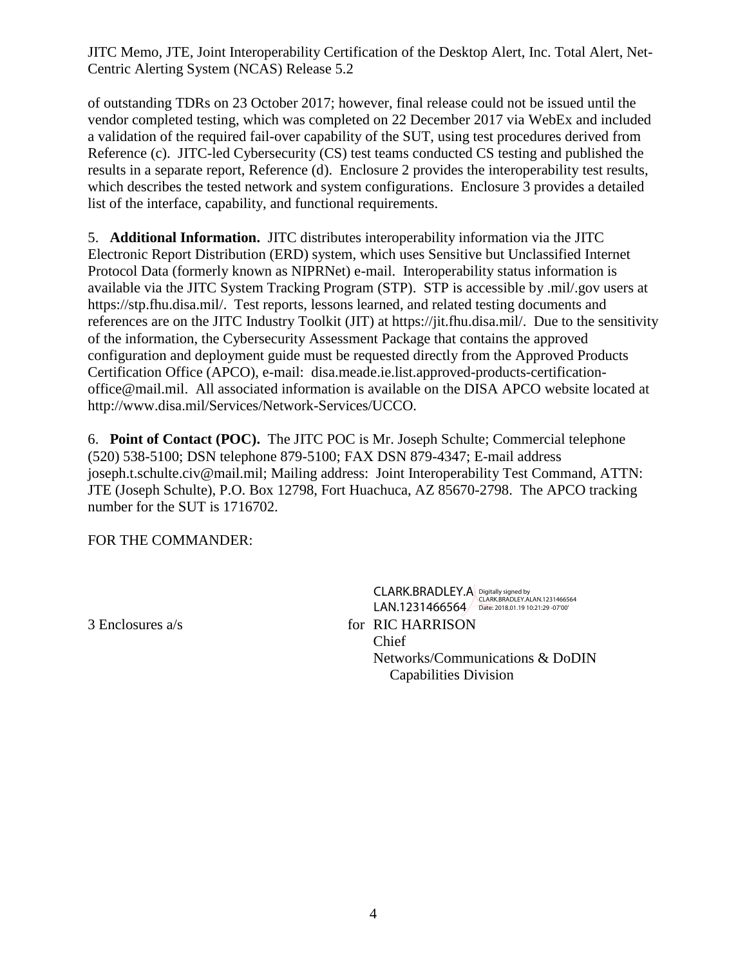JITC Memo, JTE, Joint Interoperability Certification of the Desktop Alert, Inc. Total Alert, Net-Centric Alerting System (NCAS) Release 5.2

of outstanding TDRs on 23 October 2017; however, final release could not be issued until the vendor completed testing, which was completed on 22 December 2017 via WebEx and included a validation of the required fail-over capability of the SUT, using test procedures derived from Reference (c). JITC-led Cybersecurity (CS) test teams conducted CS testing and published the results in a separate report, Reference (d). Enclosure 2 provides the interoperability test results, which describes the tested network and system configurations. Enclosure 3 provides a detailed list of the interface, capability, and functional requirements.

5. **Additional Information.** JITC distributes interoperability information via the JITC Electronic Report Distribution (ERD) system, which uses Sensitive but Unclassified Internet Protocol Data (formerly known as NIPRNet) e-mail. Interoperability status information is available via the JITC System Tracking Program (STP). STP is accessible by .mil/.gov users at https://stp.fhu.disa.mil/. Test reports, lessons learned, and related testing documents and references are on the JITC Industry Toolkit (JIT) at https://jit.fhu.disa.mil/. Due to the sensitivity of the information, the Cybersecurity Assessment Package that contains the approved configuration and deployment guide must be requested directly from the Approved Products Certification Office (APCO), e-mail: disa.meade.ie.list.approved-products-certificationoffice@mail.mil. All associated information is available on the DISA APCO website located at http://www.disa.mil/Services/Network-Services/UCCO.

6. **Point of Contact (POC).** The JITC POC is Mr. Joseph Schulte; Commercial telephone (520) 538-5100; DSN telephone 879-5100; FAX DSN 879-4347; E-mail address joseph.t.schulte.civ@mail.mil; Mailing address: Joint Interoperability Test Command, ATTN: JTE (Joseph Schulte), P.O. Box 12798, Fort Huachuca, AZ 85670-2798. The APCO tracking number for the SUT is 1716702.

FOR THE COMMANDER:

CLARK.BRADLEY.A LAN.1231466564 Digitally signed by CLARK.BRADLEY.ALAN.1231466564 Date: 2018.01.19 10:21:29 -07'00'

3 Enclosures a/s for RIC HARRISON Chief Networks/Communications & DoDIN Capabilities Division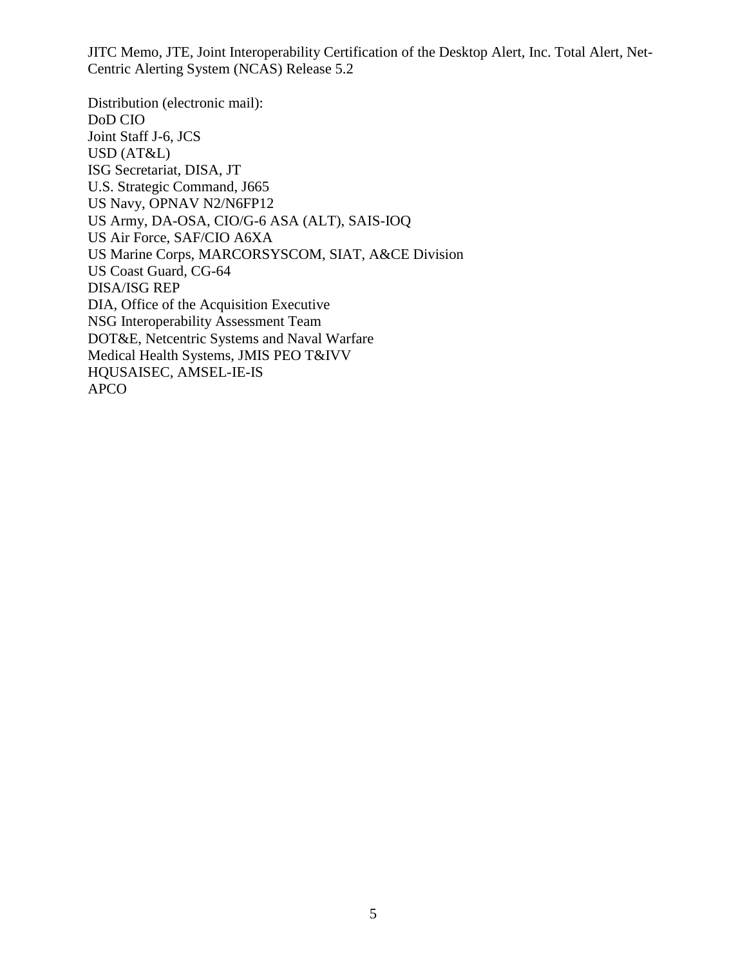JITC Memo, JTE, Joint Interoperability Certification of the Desktop Alert, Inc. Total Alert, Net-Centric Alerting System (NCAS) Release 5.2

Distribution (electronic mail): DoD CIO Joint Staff J-6, JCS USD (AT&L) ISG Secretariat, DISA, JT U.S. Strategic Command, J665 US Navy, OPNAV N2/N6FP12 US Army, DA-OSA, CIO/G-6 ASA (ALT), SAIS-IOQ US Air Force, SAF/CIO A6XA US Marine Corps, MARCORSYSCOM, SIAT, A&CE Division US Coast Guard, CG-64 DISA/ISG REP DIA, Office of the Acquisition Executive NSG Interoperability Assessment Team DOT&E, Netcentric Systems and Naval Warfare Medical Health Systems, JMIS PEO T&IVV HQUSAISEC, AMSEL-IE-IS APCO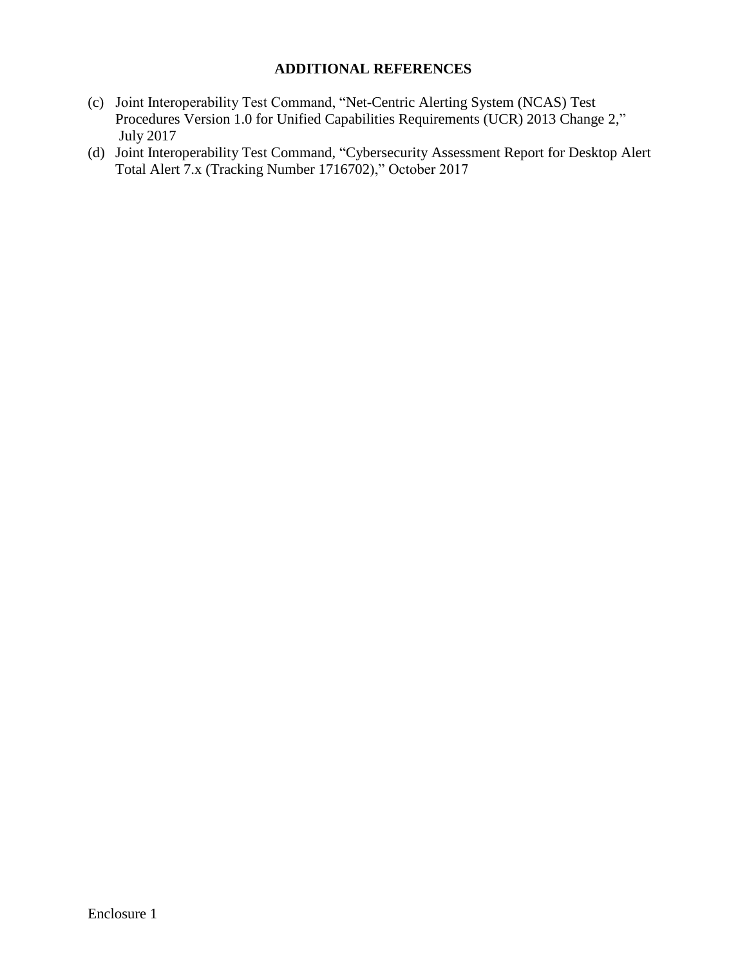#### **ADDITIONAL REFERENCES**

- (c) Joint Interoperability Test Command, "Net-Centric Alerting System (NCAS) Test Procedures Version 1.0 for Unified Capabilities Requirements (UCR) 2013 Change 2," July 2017
- (d) Joint Interoperability Test Command, "Cybersecurity Assessment Report for Desktop Alert Total Alert 7.x (Tracking Number 1716702)," October 2017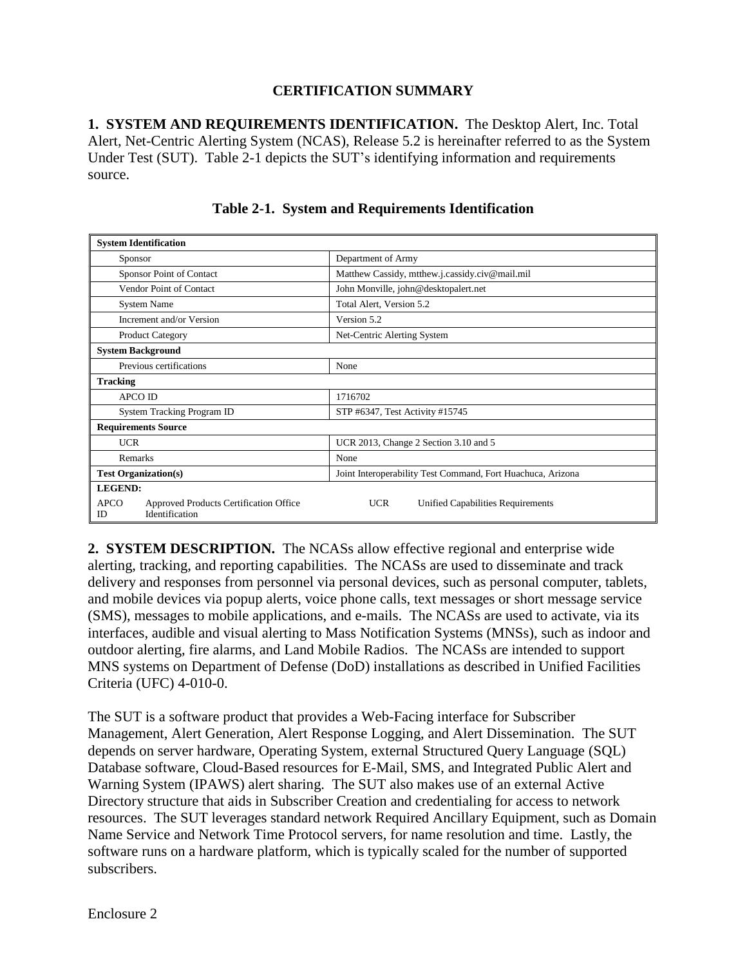## **CERTIFICATION SUMMARY**

**1. SYSTEM AND REQUIREMENTS IDENTIFICATION.** The Desktop Alert, Inc. Total Alert, Net-Centric Alerting System (NCAS), Release 5.2 is hereinafter referred to as the System Under Test (SUT). Table 2-1 depicts the SUT's identifying information and requirements source.

| <b>System Identification</b>                                                  |                                                             |  |  |
|-------------------------------------------------------------------------------|-------------------------------------------------------------|--|--|
| Sponsor                                                                       | Department of Army                                          |  |  |
| Sponsor Point of Contact                                                      | Matthew Cassidy, mtthew.j.cassidy.civ@mail.mil              |  |  |
| Vendor Point of Contact                                                       | John Monville, john@desktopalert.net                        |  |  |
| System Name                                                                   | Total Alert, Version 5.2                                    |  |  |
| Increment and/or Version                                                      | Version 5.2                                                 |  |  |
| <b>Product Category</b>                                                       | Net-Centric Alerting System                                 |  |  |
| <b>System Background</b>                                                      |                                                             |  |  |
| Previous certifications                                                       | None                                                        |  |  |
| <b>Tracking</b>                                                               |                                                             |  |  |
| <b>APCO ID</b>                                                                | 1716702                                                     |  |  |
| System Tracking Program ID                                                    | STP #6347, Test Activity #15745                             |  |  |
| <b>Requirements Source</b>                                                    |                                                             |  |  |
| <b>UCR</b>                                                                    | UCR 2013, Change 2 Section 3.10 and 5                       |  |  |
| Remarks                                                                       | None                                                        |  |  |
| <b>Test Organization(s)</b>                                                   | Joint Interoperability Test Command, Fort Huachuca, Arizona |  |  |
| <b>LEGEND:</b>                                                                |                                                             |  |  |
| <b>APCO</b><br>Approved Products Certification Office<br>Identification<br>ID | <b>UCR</b><br>Unified Capabilities Requirements             |  |  |

## **Table 2-1. System and Requirements Identification**

**2. SYSTEM DESCRIPTION.** The NCASs allow effective regional and enterprise wide alerting, tracking, and reporting capabilities. The NCASs are used to disseminate and track delivery and responses from personnel via personal devices, such as personal computer, tablets, and mobile devices via popup alerts, voice phone calls, text messages or short message service (SMS), messages to mobile applications, and e-mails. The NCASs are used to activate, via its interfaces, audible and visual alerting to Mass Notification Systems (MNSs), such as indoor and outdoor alerting, fire alarms, and Land Mobile Radios. The NCASs are intended to support MNS systems on Department of Defense (DoD) installations as described in Unified Facilities Criteria (UFC) 4-010-0.

The SUT is a software product that provides a Web-Facing interface for Subscriber Management, Alert Generation, Alert Response Logging, and Alert Dissemination. The SUT depends on server hardware, Operating System, external Structured Query Language (SQL) Database software, Cloud-Based resources for E-Mail, SMS, and Integrated Public Alert and Warning System (IPAWS) alert sharing. The SUT also makes use of an external Active Directory structure that aids in Subscriber Creation and credentialing for access to network resources. The SUT leverages standard network Required Ancillary Equipment, such as Domain Name Service and Network Time Protocol servers, for name resolution and time. Lastly, the software runs on a hardware platform, which is typically scaled for the number of supported subscribers.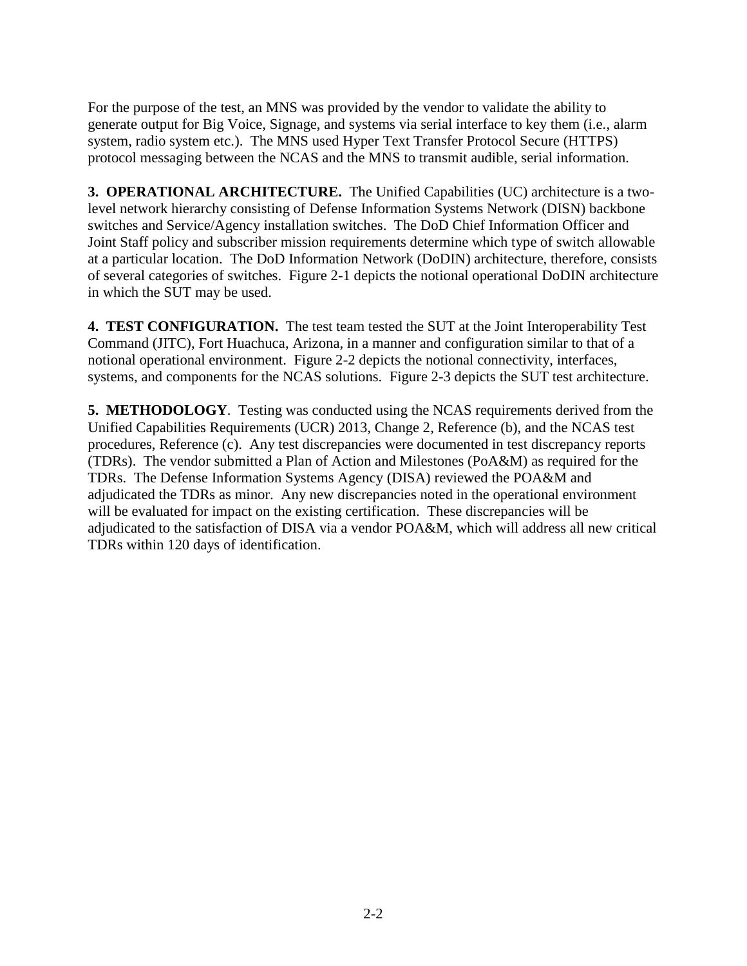For the purpose of the test, an MNS was provided by the vendor to validate the ability to generate output for Big Voice, Signage, and systems via serial interface to key them (i.e., alarm system, radio system etc.). The MNS used Hyper Text Transfer Protocol Secure (HTTPS) protocol messaging between the NCAS and the MNS to transmit audible, serial information.

**3. OPERATIONAL ARCHITECTURE.** The Unified Capabilities (UC) architecture is a twolevel network hierarchy consisting of Defense Information Systems Network (DISN) backbone switches and Service/Agency installation switches. The DoD Chief Information Officer and Joint Staff policy and subscriber mission requirements determine which type of switch allowable at a particular location. The DoD Information Network (DoDIN) architecture, therefore, consists of several categories of switches. Figure 2-1 depicts the notional operational DoDIN architecture in which the SUT may be used.

**4. TEST CONFIGURATION.**The test team tested the SUT at the Joint Interoperability Test Command (JITC), Fort Huachuca, Arizona, in a manner and configuration similar to that of a notional operational environment. Figure 2-2 depicts the notional connectivity, interfaces, systems, and components for the NCAS solutions. Figure 2-3 depicts the SUT test architecture.

**5. METHODOLOGY**. Testing was conducted using the NCAS requirements derived from the Unified Capabilities Requirements (UCR) 2013, Change 2, Reference (b), and the NCAS test procedures, Reference (c). Any test discrepancies were documented in test discrepancy reports (TDRs). The vendor submitted a Plan of Action and Milestones (PoA&M) as required for the TDRs. The Defense Information Systems Agency (DISA) reviewed the POA&M and adjudicated the TDRs as minor. Any new discrepancies noted in the operational environment will be evaluated for impact on the existing certification. These discrepancies will be adjudicated to the satisfaction of DISA via a vendor POA&M, which will address all new critical TDRs within 120 days of identification.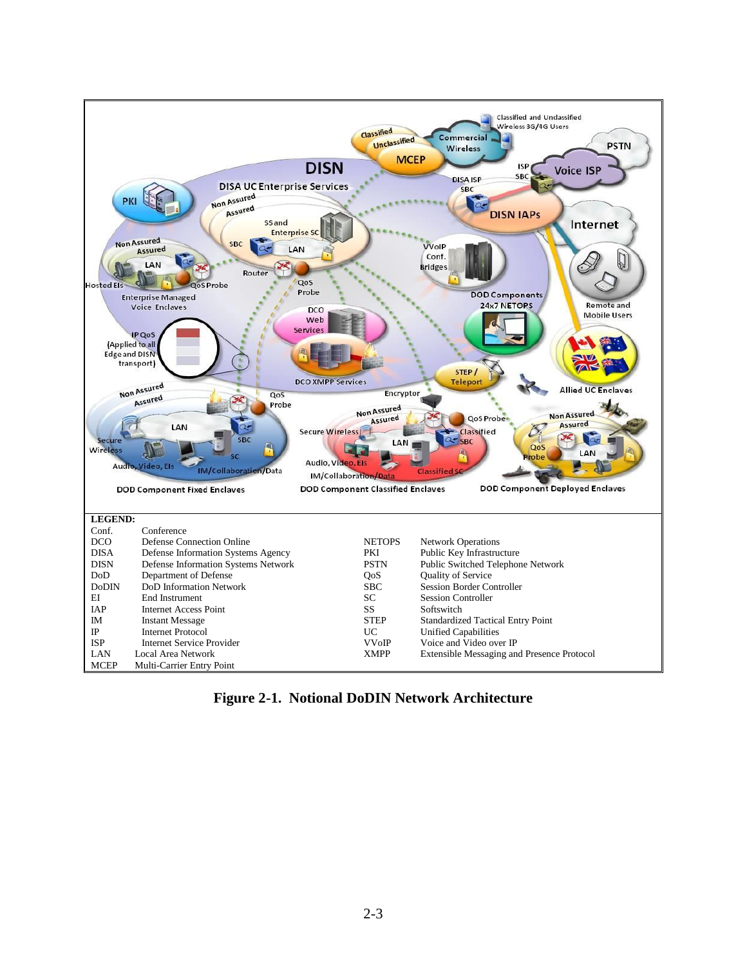

**Figure 2-1. Notional DoDIN Network Architecture**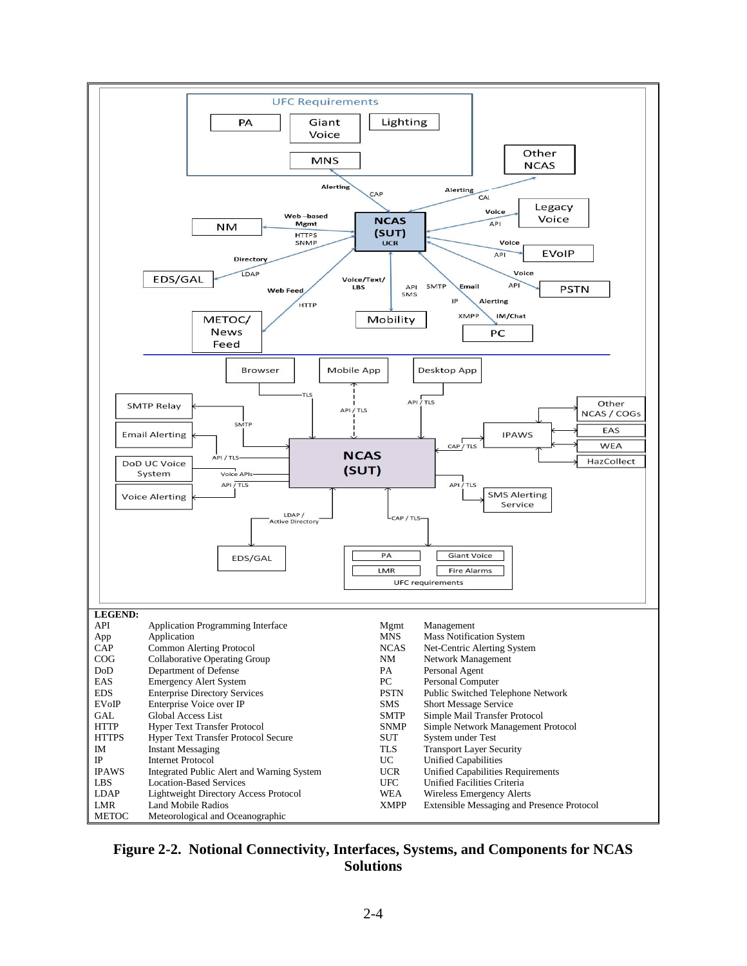

#### **Figure 2-2. Notional Connectivity, Interfaces, Systems, and Components for NCAS Solutions**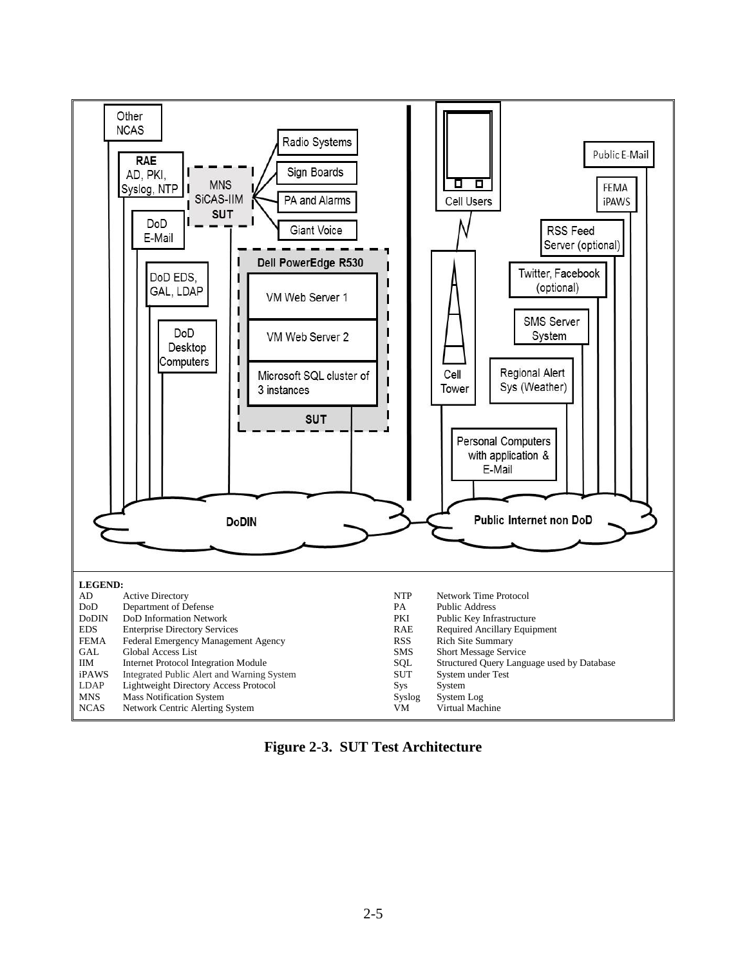

**Figure 2-3. SUT Test Architecture**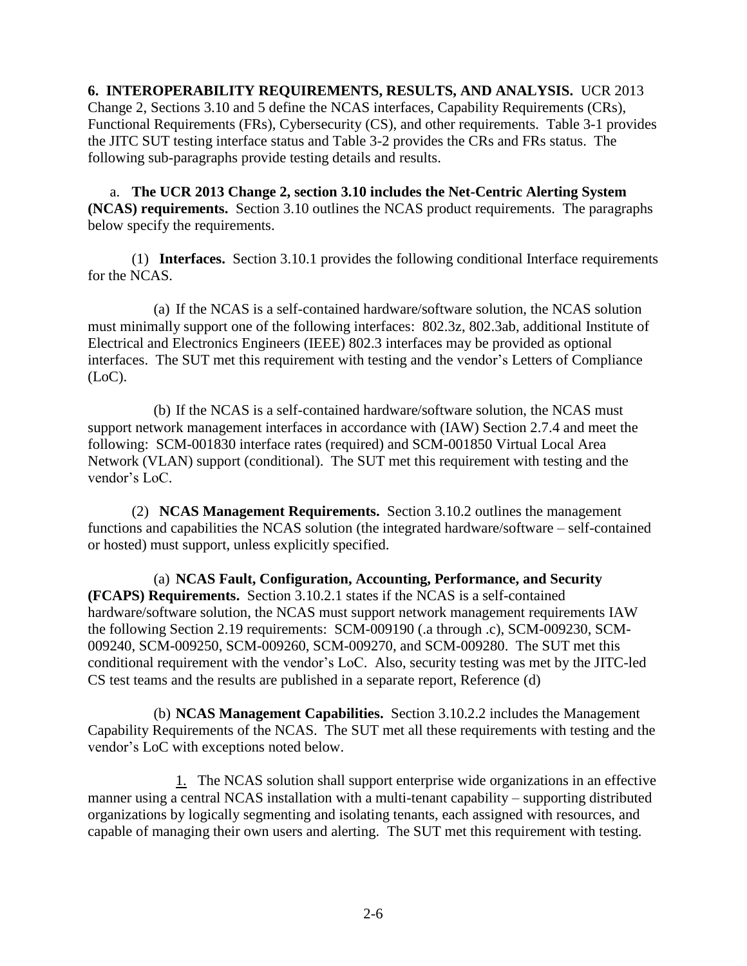**6. INTEROPERABILITY REQUIREMENTS, RESULTS, AND ANALYSIS.** UCR 2013 Change 2, Sections 3.10 and 5 define the NCAS interfaces, Capability Requirements (CRs), Functional Requirements (FRs), Cybersecurity (CS), and other requirements. Table 3-1 provides the JITC SUT testing interface status and Table 3-2 provides the CRs and FRs status. The following sub-paragraphs provide testing details and results.

a. **The UCR 2013 Change 2, section 3.10 includes the Net-Centric Alerting System (NCAS) requirements.** Section 3.10 outlines the NCAS product requirements. The paragraphs below specify the requirements.

(1) **Interfaces.** Section 3.10.1 provides the following conditional Interface requirements for the NCAS.

(a) If the NCAS is a self-contained hardware/software solution, the NCAS solution must minimally support one of the following interfaces: 802.3z, 802.3ab, additional Institute of Electrical and Electronics Engineers (IEEE) 802.3 interfaces may be provided as optional interfaces. The SUT met this requirement with testing and the vendor's Letters of Compliance (LoC).

(b) If the NCAS is a self-contained hardware/software solution, the NCAS must support network management interfaces in accordance with (IAW) Section 2.7.4 and meet the following: SCM-001830 interface rates (required) and SCM-001850 Virtual Local Area Network (VLAN) support (conditional). The SUT met this requirement with testing and the vendor's LoC.

(2) **NCAS Management Requirements.** Section 3.10.2 outlines the management functions and capabilities the NCAS solution (the integrated hardware/software – self-contained or hosted) must support, unless explicitly specified.

(a) **NCAS Fault, Configuration, Accounting, Performance, and Security (FCAPS) Requirements.** Section 3.10.2.1 states if the NCAS is a self-contained hardware/software solution, the NCAS must support network management requirements IAW the following Section 2.19 requirements: SCM-009190 (.a through .c), SCM-009230, SCM-009240, SCM-009250, SCM-009260, SCM-009270, and SCM-009280. The SUT met this conditional requirement with the vendor's LoC. Also, security testing was met by the JITC-led CS test teams and the results are published in a separate report, Reference (d)

(b) **NCAS Management Capabilities.** Section 3.10.2.2 includes the Management Capability Requirements of the NCAS. The SUT met all these requirements with testing and the vendor's LoC with exceptions noted below.

1. The NCAS solution shall support enterprise wide organizations in an effective manner using a central NCAS installation with a multi-tenant capability – supporting distributed organizations by logically segmenting and isolating tenants, each assigned with resources, and capable of managing their own users and alerting. The SUT met this requirement with testing.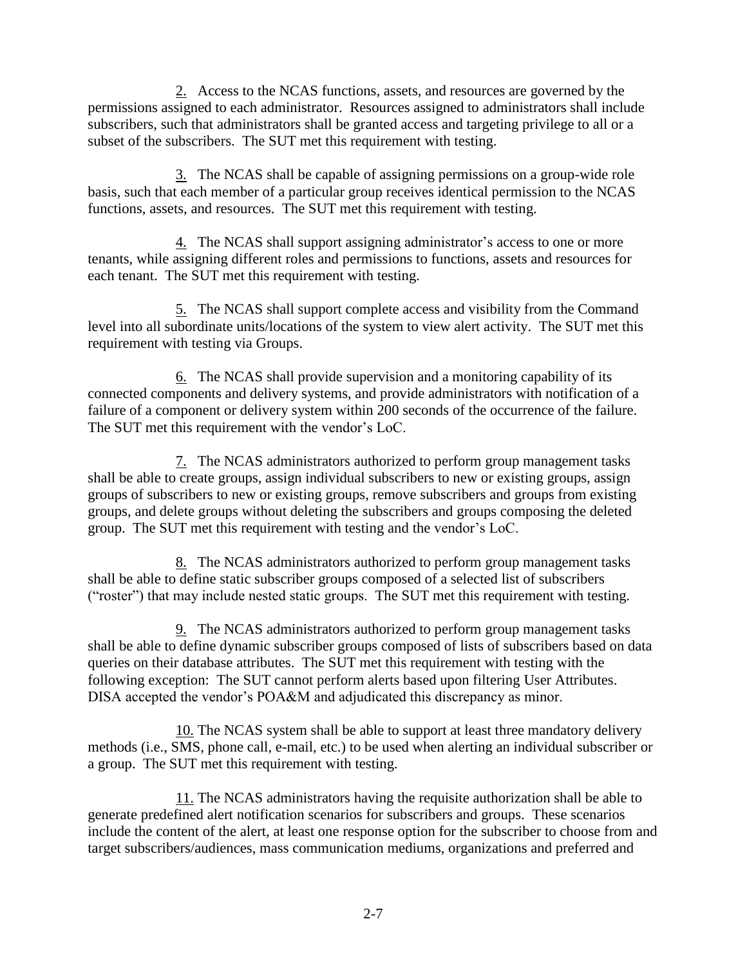2. Access to the NCAS functions, assets, and resources are governed by the permissions assigned to each administrator. Resources assigned to administrators shall include subscribers, such that administrators shall be granted access and targeting privilege to all or a subset of the subscribers. The SUT met this requirement with testing.

3. The NCAS shall be capable of assigning permissions on a group-wide role basis, such that each member of a particular group receives identical permission to the NCAS functions, assets, and resources. The SUT met this requirement with testing.

4. The NCAS shall support assigning administrator's access to one or more tenants, while assigning different roles and permissions to functions, assets and resources for each tenant. The SUT met this requirement with testing.

5. The NCAS shall support complete access and visibility from the Command level into all subordinate units/locations of the system to view alert activity. The SUT met this requirement with testing via Groups.

6. The NCAS shall provide supervision and a monitoring capability of its connected components and delivery systems, and provide administrators with notification of a failure of a component or delivery system within 200 seconds of the occurrence of the failure. The SUT met this requirement with the vendor's LoC.

7. The NCAS administrators authorized to perform group management tasks shall be able to create groups, assign individual subscribers to new or existing groups, assign groups of subscribers to new or existing groups, remove subscribers and groups from existing groups, and delete groups without deleting the subscribers and groups composing the deleted group. The SUT met this requirement with testing and the vendor's LoC.

8. The NCAS administrators authorized to perform group management tasks shall be able to define static subscriber groups composed of a selected list of subscribers ("roster") that may include nested static groups. The SUT met this requirement with testing.

9. The NCAS administrators authorized to perform group management tasks shall be able to define dynamic subscriber groups composed of lists of subscribers based on data queries on their database attributes. The SUT met this requirement with testing with the following exception: The SUT cannot perform alerts based upon filtering User Attributes. DISA accepted the vendor's POA&M and adjudicated this discrepancy as minor.

10. The NCAS system shall be able to support at least three mandatory delivery methods (i.e., SMS, phone call, e-mail, etc.) to be used when alerting an individual subscriber or a group. The SUT met this requirement with testing.

11. The NCAS administrators having the requisite authorization shall be able to generate predefined alert notification scenarios for subscribers and groups. These scenarios include the content of the alert, at least one response option for the subscriber to choose from and target subscribers/audiences, mass communication mediums, organizations and preferred and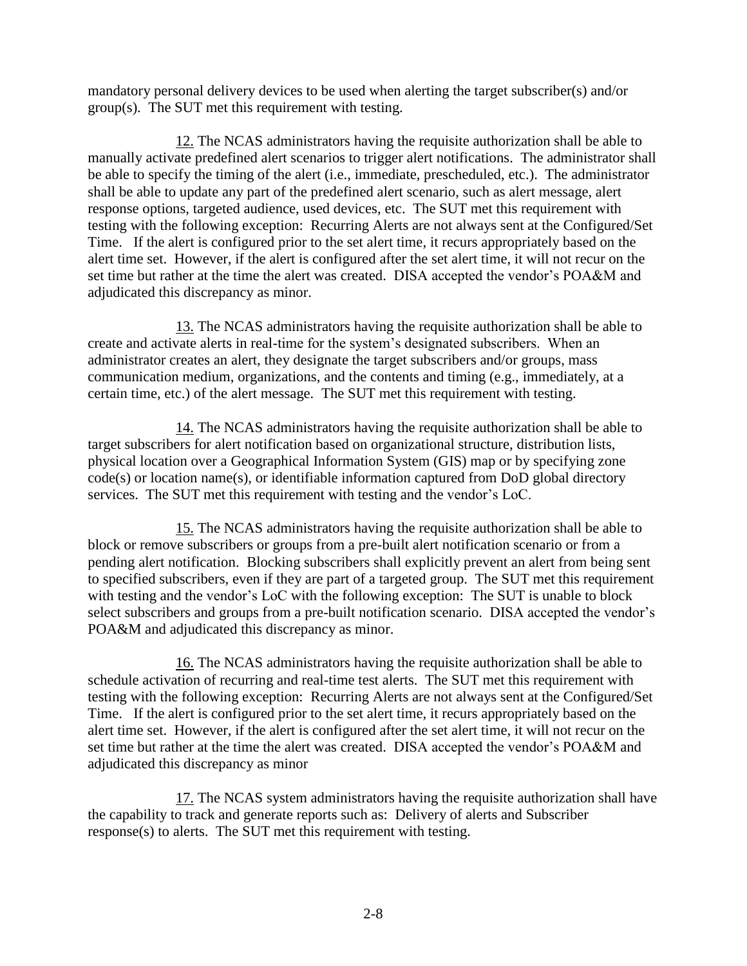mandatory personal delivery devices to be used when alerting the target subscriber(s) and/or group(s). The SUT met this requirement with testing.

12. The NCAS administrators having the requisite authorization shall be able to manually activate predefined alert scenarios to trigger alert notifications. The administrator shall be able to specify the timing of the alert (i.e., immediate, prescheduled, etc.). The administrator shall be able to update any part of the predefined alert scenario, such as alert message, alert response options, targeted audience, used devices, etc. The SUT met this requirement with testing with the following exception: Recurring Alerts are not always sent at the Configured/Set Time. If the alert is configured prior to the set alert time, it recurs appropriately based on the alert time set. However, if the alert is configured after the set alert time, it will not recur on the set time but rather at the time the alert was created. DISA accepted the vendor's POA&M and adjudicated this discrepancy as minor.

13. The NCAS administrators having the requisite authorization shall be able to create and activate alerts in real-time for the system's designated subscribers. When an administrator creates an alert, they designate the target subscribers and/or groups, mass communication medium, organizations, and the contents and timing (e.g., immediately, at a certain time, etc.) of the alert message. The SUT met this requirement with testing.

14. The NCAS administrators having the requisite authorization shall be able to target subscribers for alert notification based on organizational structure, distribution lists, physical location over a Geographical Information System (GIS) map or by specifying zone code(s) or location name(s), or identifiable information captured from DoD global directory services. The SUT met this requirement with testing and the vendor's LoC.

15. The NCAS administrators having the requisite authorization shall be able to block or remove subscribers or groups from a pre-built alert notification scenario or from a pending alert notification. Blocking subscribers shall explicitly prevent an alert from being sent to specified subscribers, even if they are part of a targeted group. The SUT met this requirement with testing and the vendor's LoC with the following exception: The SUT is unable to block select subscribers and groups from a pre-built notification scenario. DISA accepted the vendor's POA&M and adjudicated this discrepancy as minor.

16. The NCAS administrators having the requisite authorization shall be able to schedule activation of recurring and real-time test alerts. The SUT met this requirement with testing with the following exception: Recurring Alerts are not always sent at the Configured/Set Time. If the alert is configured prior to the set alert time, it recurs appropriately based on the alert time set. However, if the alert is configured after the set alert time, it will not recur on the set time but rather at the time the alert was created. DISA accepted the vendor's POA&M and adjudicated this discrepancy as minor

17. The NCAS system administrators having the requisite authorization shall have the capability to track and generate reports such as: Delivery of alerts and Subscriber response(s) to alerts. The SUT met this requirement with testing.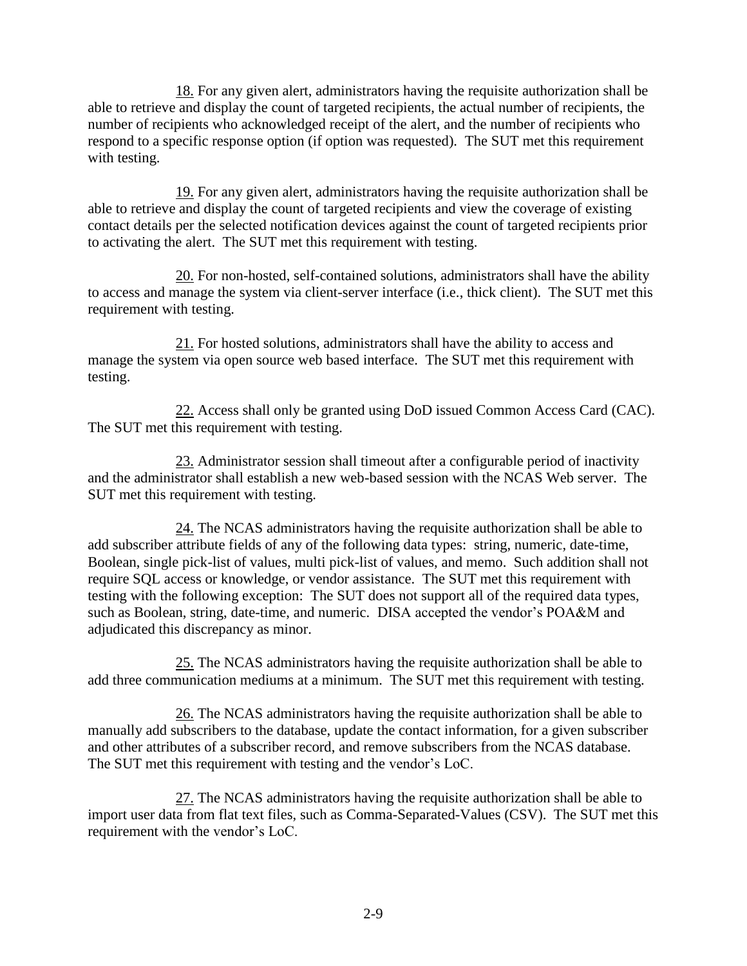18. For any given alert, administrators having the requisite authorization shall be able to retrieve and display the count of targeted recipients, the actual number of recipients, the number of recipients who acknowledged receipt of the alert, and the number of recipients who respond to a specific response option (if option was requested). The SUT met this requirement with testing.

19. For any given alert, administrators having the requisite authorization shall be able to retrieve and display the count of targeted recipients and view the coverage of existing contact details per the selected notification devices against the count of targeted recipients prior to activating the alert. The SUT met this requirement with testing.

20. For non-hosted, self-contained solutions, administrators shall have the ability to access and manage the system via client-server interface (i.e., thick client). The SUT met this requirement with testing.

21. For hosted solutions, administrators shall have the ability to access and manage the system via open source web based interface. The SUT met this requirement with testing.

22. Access shall only be granted using DoD issued Common Access Card (CAC). The SUT met this requirement with testing.

23. Administrator session shall timeout after a configurable period of inactivity and the administrator shall establish a new web-based session with the NCAS Web server. The SUT met this requirement with testing.

24. The NCAS administrators having the requisite authorization shall be able to add subscriber attribute fields of any of the following data types: string, numeric, date-time, Boolean, single pick-list of values, multi pick-list of values, and memo. Such addition shall not require SQL access or knowledge, or vendor assistance. The SUT met this requirement with testing with the following exception: The SUT does not support all of the required data types, such as Boolean, string, date-time, and numeric. DISA accepted the vendor's POA&M and adjudicated this discrepancy as minor.

25. The NCAS administrators having the requisite authorization shall be able to add three communication mediums at a minimum. The SUT met this requirement with testing.

26. The NCAS administrators having the requisite authorization shall be able to manually add subscribers to the database, update the contact information, for a given subscriber and other attributes of a subscriber record, and remove subscribers from the NCAS database. The SUT met this requirement with testing and the vendor's LoC.

27. The NCAS administrators having the requisite authorization shall be able to import user data from flat text files, such as Comma-Separated-Values (CSV). The SUT met this requirement with the vendor's LoC.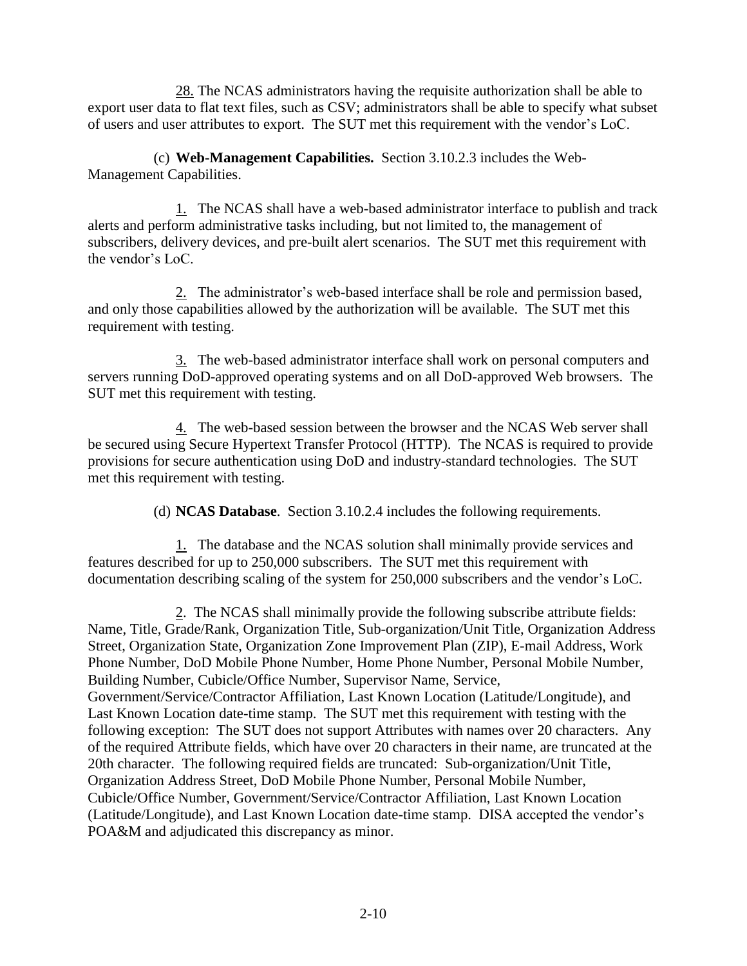28. The NCAS administrators having the requisite authorization shall be able to export user data to flat text files, such as CSV; administrators shall be able to specify what subset of users and user attributes to export. The SUT met this requirement with the vendor's LoC.

(c) **Web-Management Capabilities.** Section 3.10.2.3 includes the Web-Management Capabilities.

1. The NCAS shall have a web-based administrator interface to publish and track alerts and perform administrative tasks including, but not limited to, the management of subscribers, delivery devices, and pre-built alert scenarios. The SUT met this requirement with the vendor's LoC.

2. The administrator's web-based interface shall be role and permission based, and only those capabilities allowed by the authorization will be available. The SUT met this requirement with testing.

3. The web-based administrator interface shall work on personal computers and servers running DoD-approved operating systems and on all DoD-approved Web browsers. The SUT met this requirement with testing.

4. The web-based session between the browser and the NCAS Web server shall be secured using Secure Hypertext Transfer Protocol (HTTP). The NCAS is required to provide provisions for secure authentication using DoD and industry-standard technologies. The SUT met this requirement with testing.

(d) **NCAS Database**. Section 3.10.2.4 includes the following requirements.

1. The database and the NCAS solution shall minimally provide services and features described for up to 250,000 subscribers. The SUT met this requirement with documentation describing scaling of the system for 250,000 subscribers and the vendor's LoC.

 2. The NCAS shall minimally provide the following subscribe attribute fields: Name, Title, Grade/Rank, Organization Title, Sub-organization/Unit Title, Organization Address Street, Organization State, Organization Zone Improvement Plan (ZIP), E-mail Address, Work Phone Number, DoD Mobile Phone Number, Home Phone Number, Personal Mobile Number, Building Number, Cubicle/Office Number, Supervisor Name, Service, Government/Service/Contractor Affiliation, Last Known Location (Latitude/Longitude), and Last Known Location date-time stamp. The SUT met this requirement with testing with the following exception: The SUT does not support Attributes with names over 20 characters. Any of the required Attribute fields, which have over 20 characters in their name, are truncated at the 20th character. The following required fields are truncated: Sub-organization/Unit Title, Organization Address Street, DoD Mobile Phone Number, Personal Mobile Number, Cubicle/Office Number, Government/Service/Contractor Affiliation, Last Known Location (Latitude/Longitude), and Last Known Location date-time stamp. DISA accepted the vendor's POA&M and adjudicated this discrepancy as minor.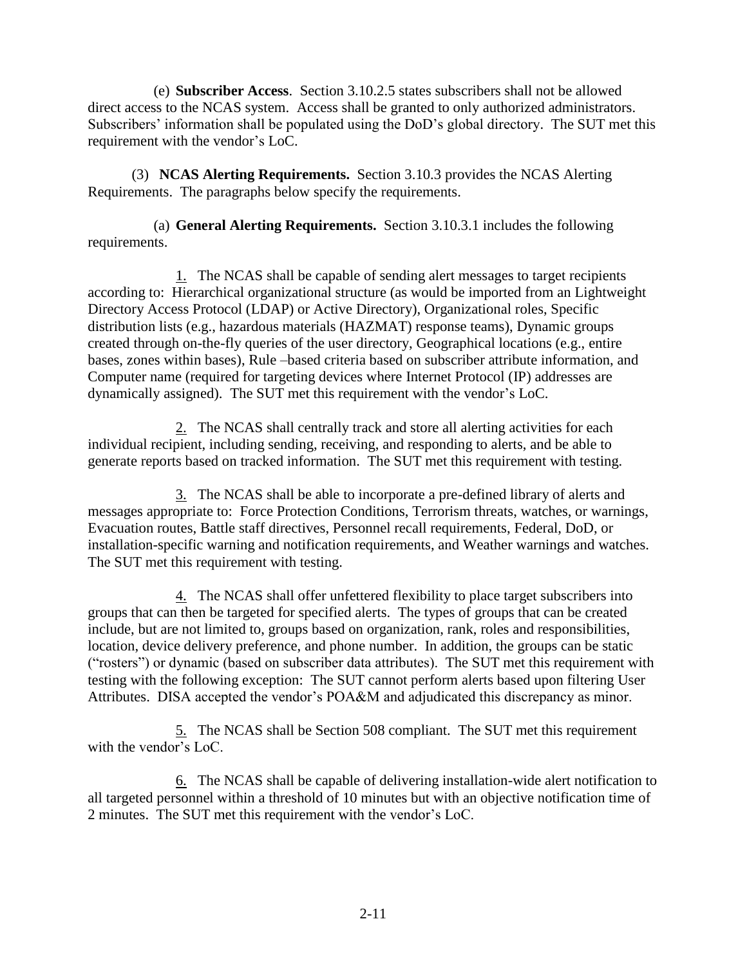(e) **Subscriber Access**. Section 3.10.2.5 states subscribers shall not be allowed direct access to the NCAS system. Access shall be granted to only authorized administrators. Subscribers' information shall be populated using the DoD's global directory. The SUT met this requirement with the vendor's LoC.

(3) **NCAS Alerting Requirements.** Section 3.10.3 provides the NCAS Alerting Requirements. The paragraphs below specify the requirements.

(a) **General Alerting Requirements.** Section 3.10.3.1 includes the following requirements.

1. The NCAS shall be capable of sending alert messages to target recipients according to: Hierarchical organizational structure (as would be imported from an Lightweight Directory Access Protocol (LDAP) or Active Directory), Organizational roles, Specific distribution lists (e.g., hazardous materials (HAZMAT) response teams), Dynamic groups created through on-the-fly queries of the user directory, Geographical locations (e.g., entire bases, zones within bases), Rule –based criteria based on subscriber attribute information, and Computer name (required for targeting devices where Internet Protocol (IP) addresses are dynamically assigned). The SUT met this requirement with the vendor's LoC.

2. The NCAS shall centrally track and store all alerting activities for each individual recipient, including sending, receiving, and responding to alerts, and be able to generate reports based on tracked information. The SUT met this requirement with testing.

3. The NCAS shall be able to incorporate a pre-defined library of alerts and messages appropriate to: Force Protection Conditions, Terrorism threats, watches, or warnings, Evacuation routes, Battle staff directives, Personnel recall requirements, Federal, DoD, or installation-specific warning and notification requirements, and Weather warnings and watches. The SUT met this requirement with testing.

4. The NCAS shall offer unfettered flexibility to place target subscribers into groups that can then be targeted for specified alerts. The types of groups that can be created include, but are not limited to, groups based on organization, rank, roles and responsibilities, location, device delivery preference, and phone number. In addition, the groups can be static ("rosters") or dynamic (based on subscriber data attributes). The SUT met this requirement with testing with the following exception: The SUT cannot perform alerts based upon filtering User Attributes. DISA accepted the vendor's POA&M and adjudicated this discrepancy as minor.

5. The NCAS shall be Section 508 compliant. The SUT met this requirement with the vendor's LoC.

6. The NCAS shall be capable of delivering installation-wide alert notification to all targeted personnel within a threshold of 10 minutes but with an objective notification time of 2 minutes. The SUT met this requirement with the vendor's LoC.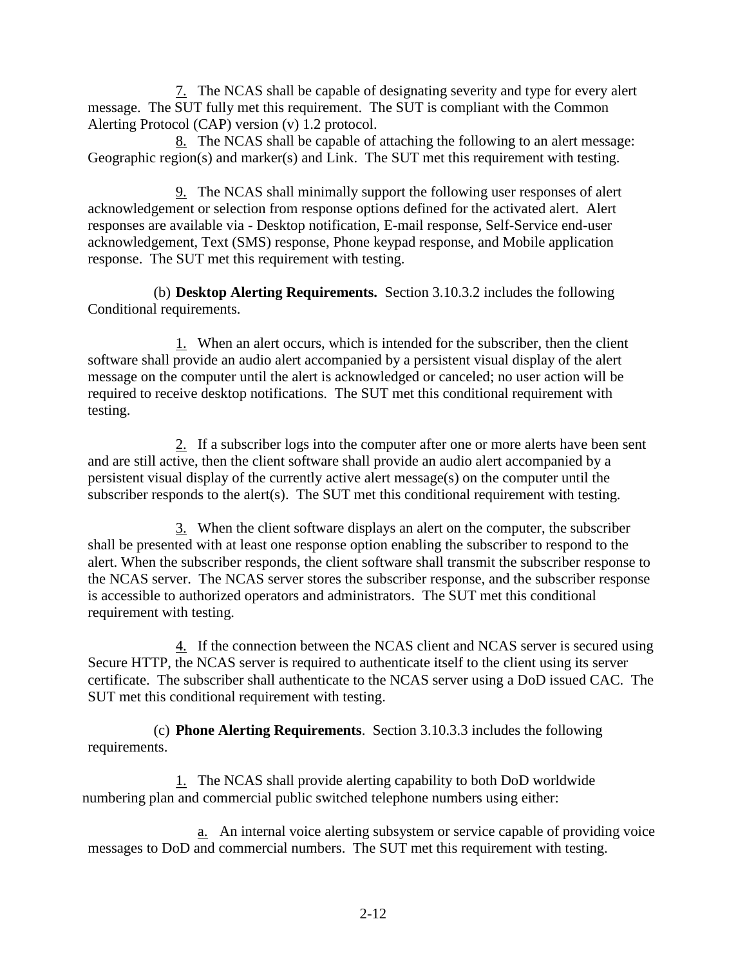7. The NCAS shall be capable of designating severity and type for every alert message. The SUT fully met this requirement. The SUT is compliant with the Common Alerting Protocol (CAP) version (v) 1.2 protocol.

8. The NCAS shall be capable of attaching the following to an alert message: Geographic region(s) and marker(s) and Link. The SUT met this requirement with testing.

9. The NCAS shall minimally support the following user responses of alert acknowledgement or selection from response options defined for the activated alert. Alert responses are available via - Desktop notification, E-mail response, Self-Service end-user acknowledgement, Text (SMS) response, Phone keypad response, and Mobile application response. The SUT met this requirement with testing.

(b) **Desktop Alerting Requirements.** Section 3.10.3.2 includes the following Conditional requirements.

1. When an alert occurs, which is intended for the subscriber, then the client software shall provide an audio alert accompanied by a persistent visual display of the alert message on the computer until the alert is acknowledged or canceled; no user action will be required to receive desktop notifications. The SUT met this conditional requirement with testing.

2. If a subscriber logs into the computer after one or more alerts have been sent and are still active, then the client software shall provide an audio alert accompanied by a persistent visual display of the currently active alert message(s) on the computer until the subscriber responds to the alert(s). The SUT met this conditional requirement with testing.

3. When the client software displays an alert on the computer, the subscriber shall be presented with at least one response option enabling the subscriber to respond to the alert. When the subscriber responds, the client software shall transmit the subscriber response to the NCAS server. The NCAS server stores the subscriber response, and the subscriber response is accessible to authorized operators and administrators. The SUT met this conditional requirement with testing.

4. If the connection between the NCAS client and NCAS server is secured using Secure HTTP, the NCAS server is required to authenticate itself to the client using its server certificate. The subscriber shall authenticate to the NCAS server using a DoD issued CAC. The SUT met this conditional requirement with testing.

(c) **Phone Alerting Requirements**. Section 3.10.3.3 includes the following requirements.

1. The NCAS shall provide alerting capability to both DoD worldwide numbering plan and commercial public switched telephone numbers using either:

a. An internal voice alerting subsystem or service capable of providing voice messages to DoD and commercial numbers. The SUT met this requirement with testing.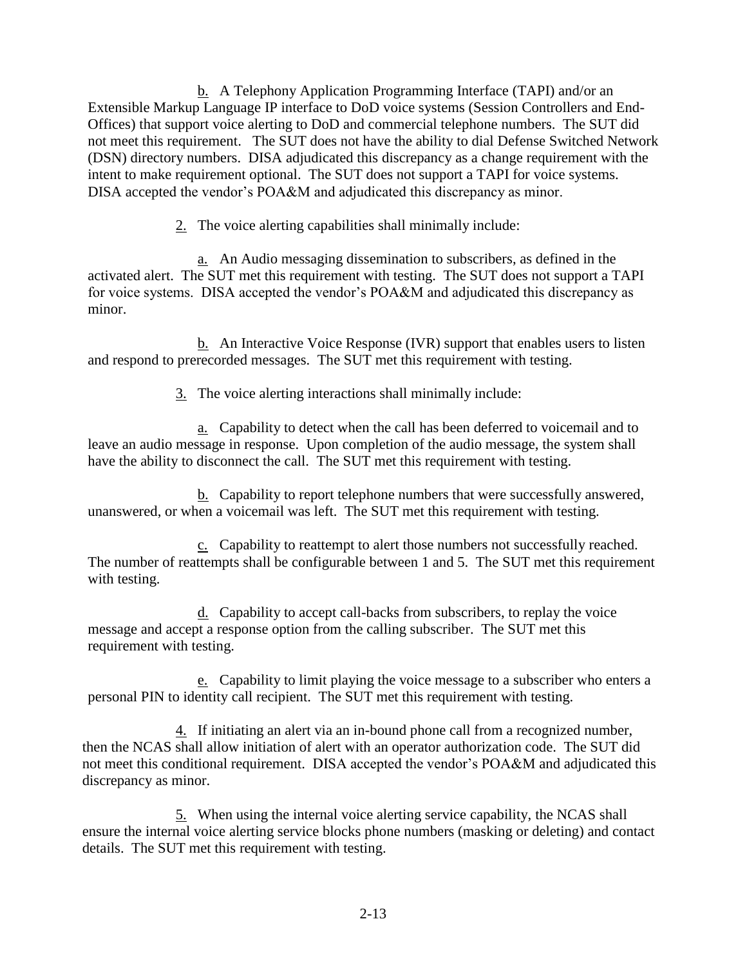b. A Telephony Application Programming Interface (TAPI) and/or an Extensible Markup Language IP interface to DoD voice systems (Session Controllers and End-Offices) that support voice alerting to DoD and commercial telephone numbers. The SUT did not meet this requirement. The SUT does not have the ability to dial Defense Switched Network (DSN) directory numbers. DISA adjudicated this discrepancy as a change requirement with the intent to make requirement optional. The SUT does not support a TAPI for voice systems. DISA accepted the vendor's POA&M and adjudicated this discrepancy as minor.

2. The voice alerting capabilities shall minimally include:

a. An Audio messaging dissemination to subscribers, as defined in the activated alert. The SUT met this requirement with testing. The SUT does not support a TAPI for voice systems. DISA accepted the vendor's POA&M and adjudicated this discrepancy as minor.

b. An Interactive Voice Response (IVR) support that enables users to listen and respond to prerecorded messages. The SUT met this requirement with testing.

3. The voice alerting interactions shall minimally include:

a. Capability to detect when the call has been deferred to voicemail and to leave an audio message in response. Upon completion of the audio message, the system shall have the ability to disconnect the call. The SUT met this requirement with testing.

b. Capability to report telephone numbers that were successfully answered, unanswered, or when a voicemail was left. The SUT met this requirement with testing.

c. Capability to reattempt to alert those numbers not successfully reached. The number of reattempts shall be configurable between 1 and 5. The SUT met this requirement with testing.

d. Capability to accept call-backs from subscribers, to replay the voice message and accept a response option from the calling subscriber. The SUT met this requirement with testing.

e. Capability to limit playing the voice message to a subscriber who enters a personal PIN to identity call recipient. The SUT met this requirement with testing.

4. If initiating an alert via an in-bound phone call from a recognized number, then the NCAS shall allow initiation of alert with an operator authorization code. The SUT did not meet this conditional requirement. DISA accepted the vendor's POA&M and adjudicated this discrepancy as minor.

5. When using the internal voice alerting service capability, the NCAS shall ensure the internal voice alerting service blocks phone numbers (masking or deleting) and contact details. The SUT met this requirement with testing.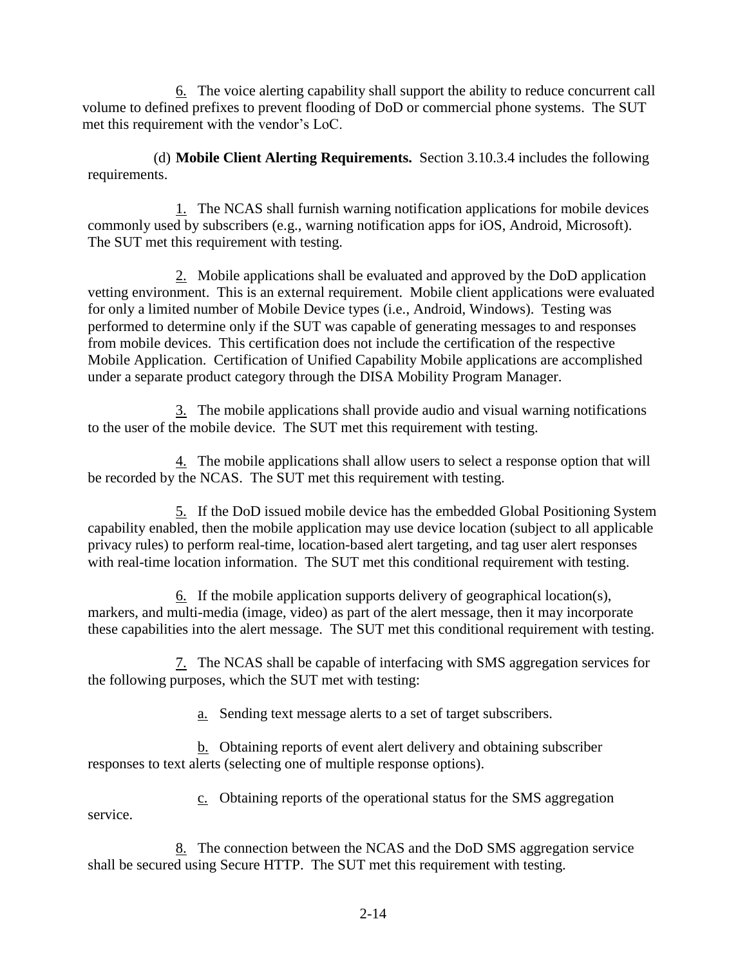6. The voice alerting capability shall support the ability to reduce concurrent call volume to defined prefixes to prevent flooding of DoD or commercial phone systems. The SUT met this requirement with the vendor's LoC.

(d) **Mobile Client Alerting Requirements.** Section 3.10.3.4 includes the following requirements.

1. The NCAS shall furnish warning notification applications for mobile devices commonly used by subscribers (e.g., warning notification apps for iOS, Android, Microsoft). The SUT met this requirement with testing.

2. Mobile applications shall be evaluated and approved by the DoD application vetting environment. This is an external requirement. Mobile client applications were evaluated for only a limited number of Mobile Device types (i.e., Android, Windows). Testing was performed to determine only if the SUT was capable of generating messages to and responses from mobile devices. This certification does not include the certification of the respective Mobile Application. Certification of Unified Capability Mobile applications are accomplished under a separate product category through the DISA Mobility Program Manager.

3. The mobile applications shall provide audio and visual warning notifications to the user of the mobile device. The SUT met this requirement with testing.

4. The mobile applications shall allow users to select a response option that will be recorded by the NCAS. The SUT met this requirement with testing.

5. If the DoD issued mobile device has the embedded Global Positioning System capability enabled, then the mobile application may use device location (subject to all applicable privacy rules) to perform real-time, location-based alert targeting, and tag user alert responses with real-time location information. The SUT met this conditional requirement with testing.

6. If the mobile application supports delivery of geographical location(s), markers, and multi-media (image, video) as part of the alert message, then it may incorporate these capabilities into the alert message. The SUT met this conditional requirement with testing.

7. The NCAS shall be capable of interfacing with SMS aggregation services for the following purposes, which the SUT met with testing:

a. Sending text message alerts to a set of target subscribers.

b. Obtaining reports of event alert delivery and obtaining subscriber responses to text alerts (selecting one of multiple response options).

c. Obtaining reports of the operational status for the SMS aggregation

service.

8. The connection between the NCAS and the DoD SMS aggregation service shall be secured using Secure HTTP. The SUT met this requirement with testing.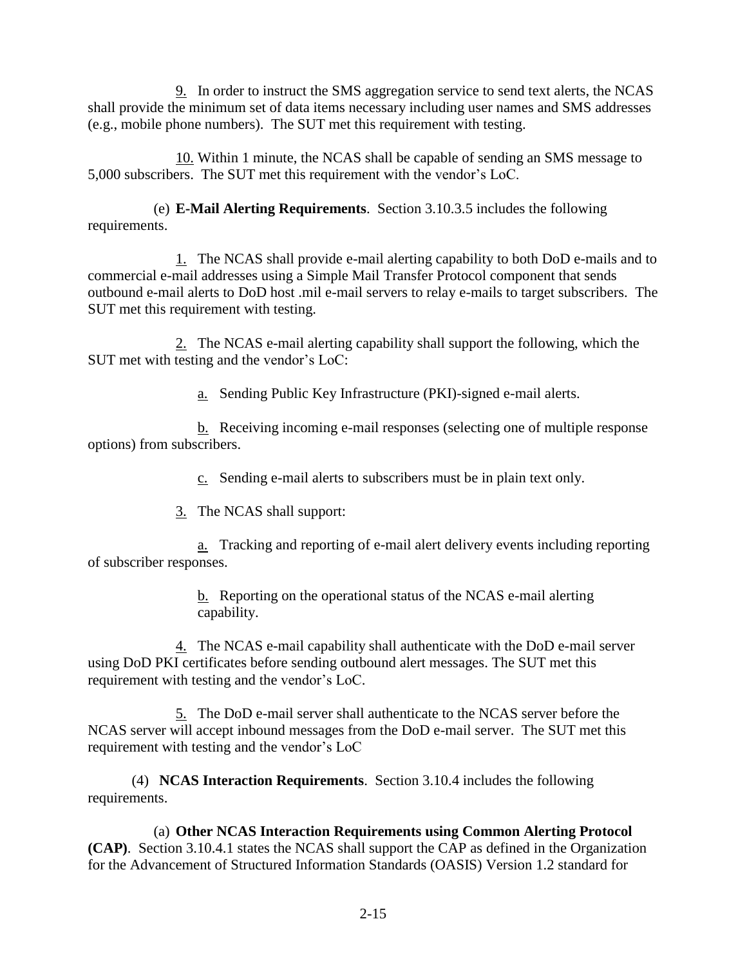9. In order to instruct the SMS aggregation service to send text alerts, the NCAS shall provide the minimum set of data items necessary including user names and SMS addresses (e.g., mobile phone numbers). The SUT met this requirement with testing.

10. Within 1 minute, the NCAS shall be capable of sending an SMS message to 5,000 subscribers. The SUT met this requirement with the vendor's LoC.

(e) **E-Mail Alerting Requirements**. Section 3.10.3.5 includes the following requirements.

1. The NCAS shall provide e-mail alerting capability to both DoD e-mails and to commercial e-mail addresses using a Simple Mail Transfer Protocol component that sends outbound e-mail alerts to DoD host .mil e-mail servers to relay e-mails to target subscribers. The SUT met this requirement with testing.

2. The NCAS e-mail alerting capability shall support the following, which the SUT met with testing and the vendor's LoC:

a. Sending Public Key Infrastructure (PKI)-signed e-mail alerts.

b. Receiving incoming e-mail responses (selecting one of multiple response options) from subscribers.

c. Sending e-mail alerts to subscribers must be in plain text only.

3. The NCAS shall support:

a. Tracking and reporting of e-mail alert delivery events including reporting of subscriber responses.

> b. Reporting on the operational status of the NCAS e-mail alerting capability.

4. The NCAS e-mail capability shall authenticate with the DoD e-mail server using DoD PKI certificates before sending outbound alert messages. The SUT met this requirement with testing and the vendor's LoC.

5. The DoD e-mail server shall authenticate to the NCAS server before the NCAS server will accept inbound messages from the DoD e-mail server. The SUT met this requirement with testing and the vendor's LoC

(4) **NCAS Interaction Requirements**. Section 3.10.4 includes the following requirements.

(a) **Other NCAS Interaction Requirements using Common Alerting Protocol (CAP)**. Section 3.10.4.1 states the NCAS shall support the CAP as defined in the Organization for the Advancement of Structured Information Standards (OASIS) Version 1.2 standard for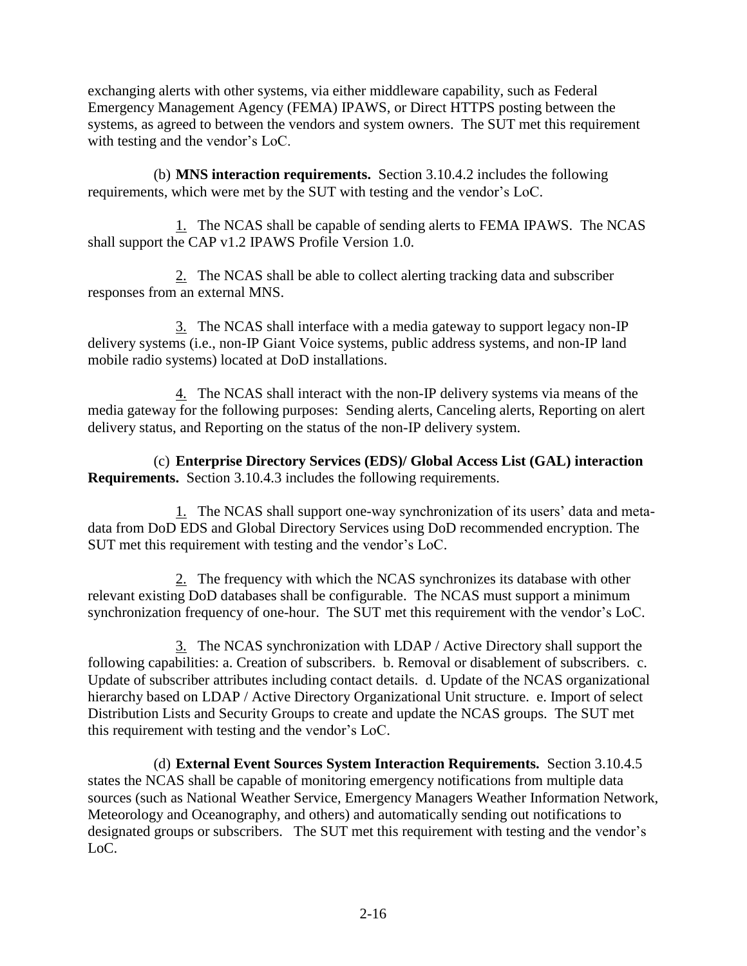exchanging alerts with other systems, via either middleware capability, such as Federal Emergency Management Agency (FEMA) IPAWS, or Direct HTTPS posting between the systems, as agreed to between the vendors and system owners. The SUT met this requirement with testing and the vendor's LoC.

(b) **MNS interaction requirements.** Section 3.10.4.2 includes the following requirements, which were met by the SUT with testing and the vendor's LoC.

1. The NCAS shall be capable of sending alerts to FEMA IPAWS. The NCAS shall support the CAP v1.2 IPAWS Profile Version 1.0.

2. The NCAS shall be able to collect alerting tracking data and subscriber responses from an external MNS.

3. The NCAS shall interface with a media gateway to support legacy non-IP delivery systems (i.e., non-IP Giant Voice systems, public address systems, and non-IP land mobile radio systems) located at DoD installations.

4. The NCAS shall interact with the non-IP delivery systems via means of the media gateway for the following purposes: Sending alerts, Canceling alerts, Reporting on alert delivery status, and Reporting on the status of the non-IP delivery system.

(c) **Enterprise Directory Services (EDS)/ Global Access List (GAL) interaction Requirements.** Section 3.10.4.3 includes the following requirements.

1. The NCAS shall support one-way synchronization of its users' data and metadata from DoD EDS and Global Directory Services using DoD recommended encryption. The SUT met this requirement with testing and the vendor's LoC.

2. The frequency with which the NCAS synchronizes its database with other relevant existing DoD databases shall be configurable. The NCAS must support a minimum synchronization frequency of one-hour. The SUT met this requirement with the vendor's LoC.

3. The NCAS synchronization with LDAP / Active Directory shall support the following capabilities: a. Creation of subscribers. b. Removal or disablement of subscribers. c. Update of subscriber attributes including contact details. d. Update of the NCAS organizational hierarchy based on LDAP / Active Directory Organizational Unit structure. e. Import of select Distribution Lists and Security Groups to create and update the NCAS groups. The SUT met this requirement with testing and the vendor's LoC.

(d) **External Event Sources System Interaction Requirements.** Section 3.10.4.5 states the NCAS shall be capable of monitoring emergency notifications from multiple data sources (such as National Weather Service, Emergency Managers Weather Information Network, Meteorology and Oceanography, and others) and automatically sending out notifications to designated groups or subscribers. The SUT met this requirement with testing and the vendor's LoC.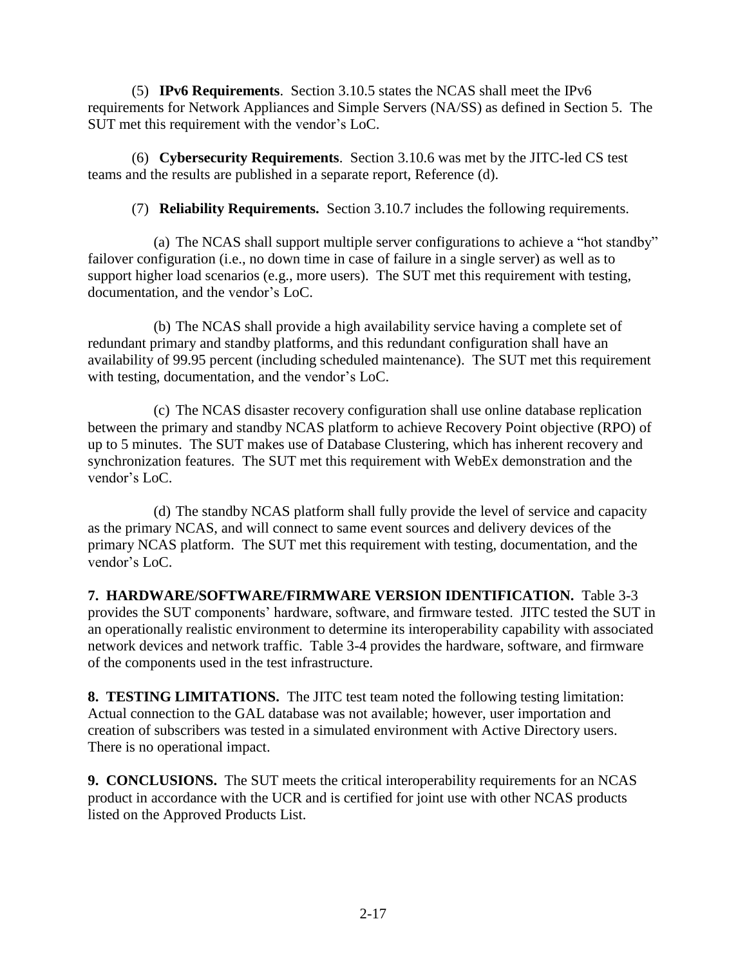(5) **IPv6 Requirements**. Section 3.10.5 states the NCAS shall meet the IPv6 requirements for Network Appliances and Simple Servers (NA/SS) as defined in Section 5. The SUT met this requirement with the vendor's LoC.

(6) **Cybersecurity Requirements**. Section 3.10.6 was met by the JITC-led CS test teams and the results are published in a separate report, Reference (d).

(7) **Reliability Requirements.** Section 3.10.7 includes the following requirements.

(a) The NCAS shall support multiple server configurations to achieve a "hot standby" failover configuration (i.e., no down time in case of failure in a single server) as well as to support higher load scenarios (e.g., more users). The SUT met this requirement with testing, documentation, and the vendor's LoC.

(b) The NCAS shall provide a high availability service having a complete set of redundant primary and standby platforms, and this redundant configuration shall have an availability of 99.95 percent (including scheduled maintenance). The SUT met this requirement with testing, documentation, and the vendor's LoC.

(c) The NCAS disaster recovery configuration shall use online database replication between the primary and standby NCAS platform to achieve Recovery Point objective (RPO) of up to 5 minutes. The SUT makes use of Database Clustering, which has inherent recovery and synchronization features. The SUT met this requirement with WebEx demonstration and the vendor's LoC.

(d) The standby NCAS platform shall fully provide the level of service and capacity as the primary NCAS, and will connect to same event sources and delivery devices of the primary NCAS platform. The SUT met this requirement with testing, documentation, and the vendor's LoC.

**7. HARDWARE/SOFTWARE/FIRMWARE VERSION IDENTIFICATION.** Table 3-3 provides the SUT components' hardware, software, and firmware tested. JITC tested the SUT in an operationally realistic environment to determine its interoperability capability with associated network devices and network traffic. Table 3-4 provides the hardware, software, and firmware of the components used in the test infrastructure.

**8. TESTING LIMITATIONS.** The JITC test team noted the following testing limitation: Actual connection to the GAL database was not available; however, user importation and creation of subscribers was tested in a simulated environment with Active Directory users. There is no operational impact.

**9. CONCLUSIONS.** The SUT meets the critical interoperability requirements for an NCAS product in accordance with the UCR and is certified for joint use with other NCAS products listed on the Approved Products List.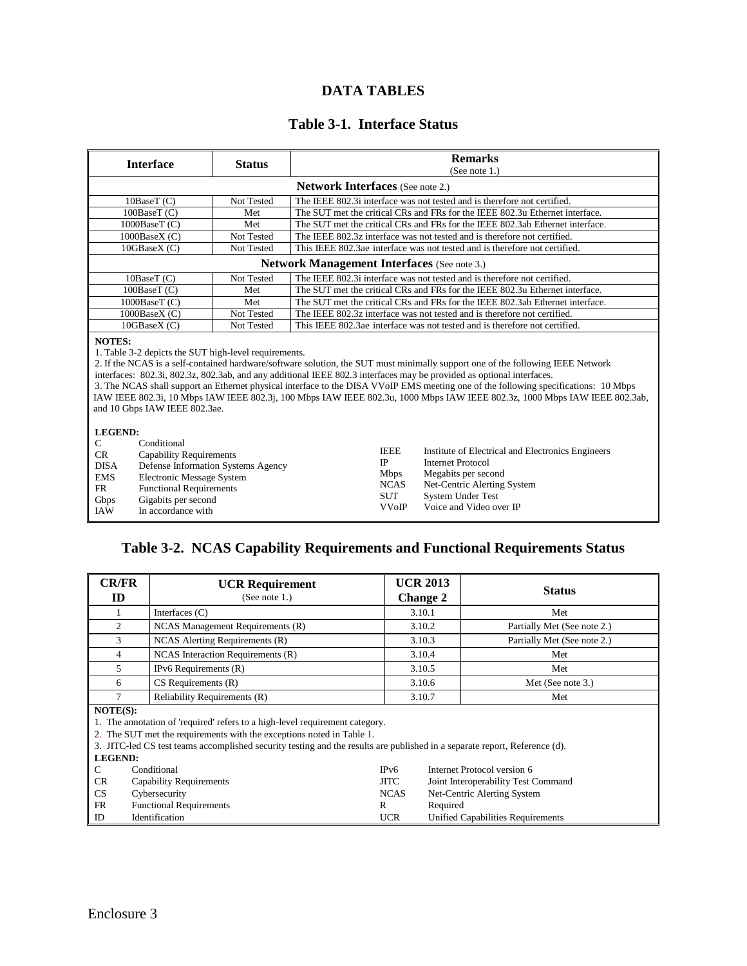#### **DATA TABLES**

# **Table 3-1. Interface Status**

| <b>Interface</b>                                                                                                                                                                                                                                                                                                                                                                                                                                                                                                                                                                                                                         | <b>Status</b>                                                                            | <b>Remarks</b>                                                                |  |  |
|------------------------------------------------------------------------------------------------------------------------------------------------------------------------------------------------------------------------------------------------------------------------------------------------------------------------------------------------------------------------------------------------------------------------------------------------------------------------------------------------------------------------------------------------------------------------------------------------------------------------------------------|------------------------------------------------------------------------------------------|-------------------------------------------------------------------------------|--|--|
|                                                                                                                                                                                                                                                                                                                                                                                                                                                                                                                                                                                                                                          |                                                                                          | (See note $1.$ )                                                              |  |  |
| <b>Network Interfaces</b> (See note 2.)                                                                                                                                                                                                                                                                                                                                                                                                                                                                                                                                                                                                  |                                                                                          |                                                                               |  |  |
| 10BaseT(C)                                                                                                                                                                                                                                                                                                                                                                                                                                                                                                                                                                                                                               | Not Tested                                                                               | The IEEE 802.3i interface was not tested and is therefore not certified.      |  |  |
| 100BaseT(C)                                                                                                                                                                                                                                                                                                                                                                                                                                                                                                                                                                                                                              | Met                                                                                      | The SUT met the critical CRs and FRs for the IEEE 802.3u Ethernet interface.  |  |  |
| 1000BaseT (C)                                                                                                                                                                                                                                                                                                                                                                                                                                                                                                                                                                                                                            | Met                                                                                      | The SUT met the critical CRs and FRs for the IEEE 802.3ab Ethernet interface. |  |  |
| 1000BaseX(C)                                                                                                                                                                                                                                                                                                                                                                                                                                                                                                                                                                                                                             | Not Tested                                                                               | The IEEE 802.3z interface was not tested and is therefore not certified.      |  |  |
| 10GBaseX (C)                                                                                                                                                                                                                                                                                                                                                                                                                                                                                                                                                                                                                             | Not Tested                                                                               | This IEEE 802.3ae interface was not tested and is therefore not certified.    |  |  |
|                                                                                                                                                                                                                                                                                                                                                                                                                                                                                                                                                                                                                                          |                                                                                          | <b>Network Management Interfaces</b> (See note 3.)                            |  |  |
| 10BaseT (C)                                                                                                                                                                                                                                                                                                                                                                                                                                                                                                                                                                                                                              | Not Tested                                                                               | The IEEE 802.3i interface was not tested and is therefore not certified.      |  |  |
| 100BaseT (C)                                                                                                                                                                                                                                                                                                                                                                                                                                                                                                                                                                                                                             | Met                                                                                      | The SUT met the critical CRs and FRs for the IEEE 802.3u Ethernet interface.  |  |  |
| 1000BaseT (C)                                                                                                                                                                                                                                                                                                                                                                                                                                                                                                                                                                                                                            | Met                                                                                      | The SUT met the critical CRs and FRs for the IEEE 802.3ab Ethernet interface. |  |  |
| 1000BaseX(C)                                                                                                                                                                                                                                                                                                                                                                                                                                                                                                                                                                                                                             | Not Tested                                                                               | The IEEE 802.3z interface was not tested and is therefore not certified.      |  |  |
| 10GBaseX (C)                                                                                                                                                                                                                                                                                                                                                                                                                                                                                                                                                                                                                             | Not Tested<br>This IEEE 802.3ae interface was not tested and is therefore not certified. |                                                                               |  |  |
| <b>NOTES:</b><br>1. Table 3-2 depicts the SUT high-level requirements.<br>2. If the NCAS is a self-contained hardware/software solution, the SUT must minimally support one of the following IEEE Network<br>interfaces: 802.3i, 802.3z, 802.3ab, and any additional IEEE 802.3 interfaces may be provided as optional interfaces.<br>3. The NCAS shall support an Ethernet physical interface to the DISA VVoIP EMS meeting one of the following specifications: 10 Mbps<br>IAW IEEE 802.3i, 10 Mbps IAW IEEE 802.3j, 100 Mbps IAW IEEE 802.3u, 1000 Mbps IAW IEEE 802.3z, 1000 Mbps IAW IEEE 802.3ab,<br>and 10 Gbps IAW IEEE 802.3ae. |                                                                                          |                                                                               |  |  |
| <b>LEGEND:</b><br>Conditional<br>$\mathcal{C}$<br><b>IEEE</b><br>Institute of Electrical and Electronics Engineers<br>CR<br><b>Capability Requirements</b><br>$_{\rm IP}$<br><b>Internet Protocol</b><br><b>DISA</b><br>Defense Information Systems Agency<br>Megabits per second<br><b>Mbps</b><br><b>EMS</b><br><b>Electronic Message System</b><br><b>NCAS</b><br>Net-Centric Alerting System<br><b>FR</b><br><b>Functional Requirements</b><br><b>SUT</b><br><b>System Under Test</b><br>Gigabits per second<br>Gbps<br><b>VVoIP</b><br>Voice and Video over IP<br><b>IAW</b><br>In accordance with                                  |                                                                                          |                                                                               |  |  |

# **Table 3-2. NCAS Capability Requirements and Functional Requirements Status**

| ID                                          | <b>UCR Requirement</b><br>(See note $1$ .)                                                                                                                                                                                                                                          | <b>Change 2</b> | <b>UCR 2013</b>                          | <b>Status</b>               |  |  |
|---------------------------------------------|-------------------------------------------------------------------------------------------------------------------------------------------------------------------------------------------------------------------------------------------------------------------------------------|-----------------|------------------------------------------|-----------------------------|--|--|
|                                             | Interfaces $(C)$                                                                                                                                                                                                                                                                    | 3.10.1          |                                          | Met                         |  |  |
| 2                                           | NCAS Management Requirements (R)                                                                                                                                                                                                                                                    | 3.10.2          |                                          | Partially Met (See note 2.) |  |  |
| 3                                           | NCAS Alerting Requirements (R)                                                                                                                                                                                                                                                      | 3.10.3          |                                          | Partially Met (See note 2.) |  |  |
| 4                                           | NCAS Interaction Requirements (R)                                                                                                                                                                                                                                                   | 3.10.4          |                                          | Met                         |  |  |
| 5                                           | IPv6 Requirements (R)                                                                                                                                                                                                                                                               | 3.10.5          |                                          | Met                         |  |  |
| 6                                           | $CS$ Requirements $(R)$                                                                                                                                                                                                                                                             | 3.10.6          |                                          | Met (See note 3.)           |  |  |
| $\tau$                                      | Reliability Requirements (R)                                                                                                                                                                                                                                                        | 3.10.7          |                                          | Met                         |  |  |
| NOTE(S):                                    | 1. The annotation of 'required' refers to a high-level requirement category.<br>2. The SUT met the requirements with the exceptions noted in Table 1.<br>3. JITC-led CS test teams accomplished security testing and the results are published in a separate report, Reference (d). |                 |                                          |                             |  |  |
| <b>LEGEND:</b>                              |                                                                                                                                                                                                                                                                                     |                 |                                          |                             |  |  |
| Conditional<br>C                            |                                                                                                                                                                                                                                                                                     | IPv6            | Internet Protocol version 6              |                             |  |  |
| <b>CR</b><br><b>Capability Requirements</b> |                                                                                                                                                                                                                                                                                     | <b>JITC</b>     | Joint Interoperability Test Command      |                             |  |  |
| <b>CS</b><br>Cybersecurity                  |                                                                                                                                                                                                                                                                                     | <b>NCAS</b>     | Net-Centric Alerting System              |                             |  |  |
|                                             | <b>FR</b><br><b>Functional Requirements</b><br>R                                                                                                                                                                                                                                    |                 | Required                                 |                             |  |  |
| ID                                          | Identification                                                                                                                                                                                                                                                                      | <b>UCR</b>      | <b>Unified Capabilities Requirements</b> |                             |  |  |